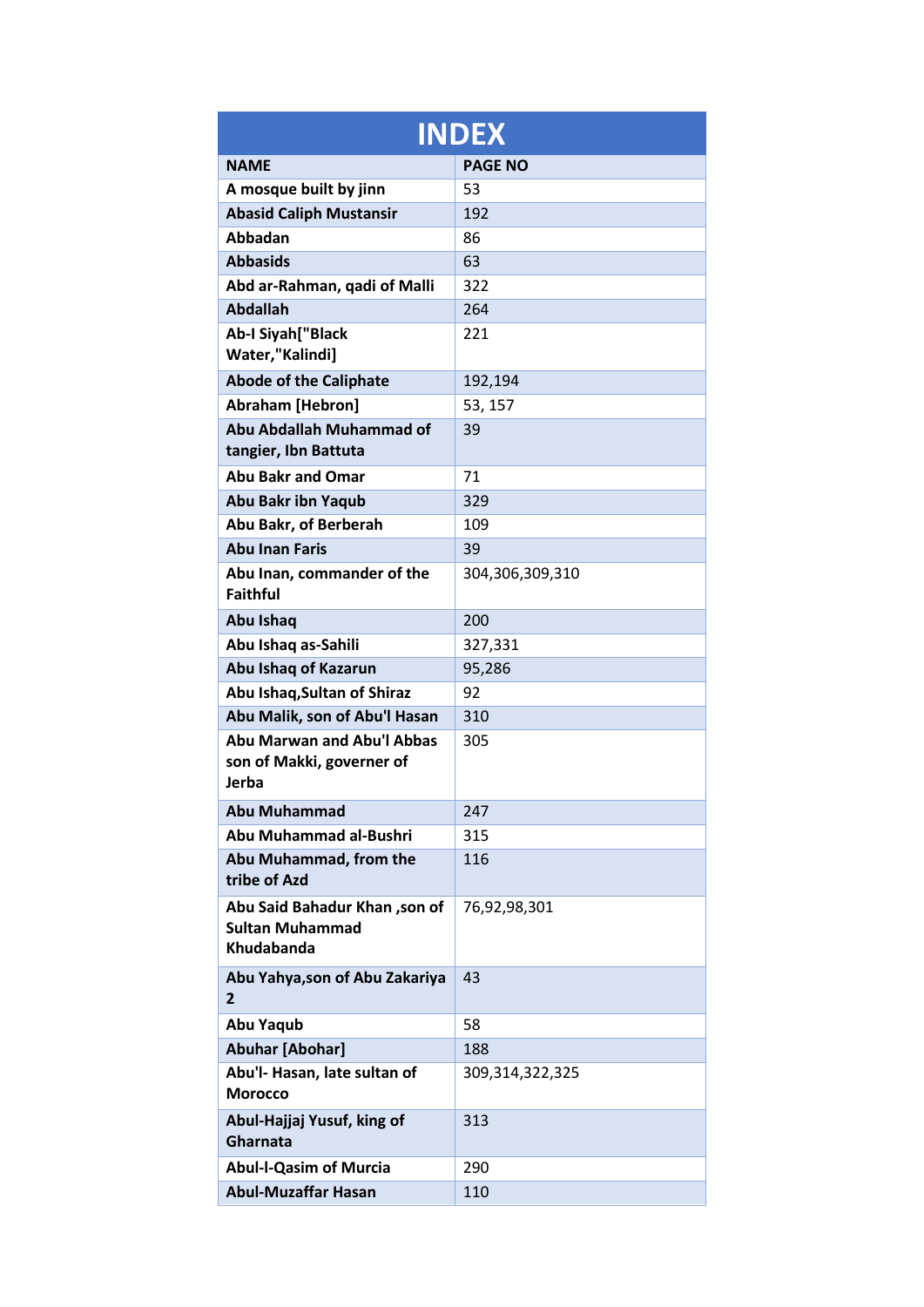|                                                                              | <b>INDEX</b>       |
|------------------------------------------------------------------------------|--------------------|
| <b>NAME</b>                                                                  | <b>PAGE NO</b>     |
| A mosque built by jinn                                                       | 53                 |
| <b>Abasid Caliph Mustansir</b>                                               | 192                |
| <b>Abbadan</b>                                                               | 86                 |
| <b>Abbasids</b>                                                              | 63                 |
| Abd ar-Rahman, qadi of Malli                                                 | 322                |
| <b>Abdallah</b>                                                              | 264                |
| Ab-I Siyah["Black<br>Water,"Kalindi]                                         | 221                |
| <b>Abode of the Caliphate</b>                                                | 192,194            |
| <b>Abraham [Hebron]</b>                                                      | 53, 157            |
| Abu Abdallah Muhammad of<br>tangier, Ibn Battuta                             | 39                 |
| <b>Abu Bakr and Omar</b>                                                     | 71                 |
| <b>Abu Bakr ibn Yaqub</b>                                                    | 329                |
| Abu Bakr, of Berberah                                                        | 109                |
| <b>Abu Inan Faris</b>                                                        | 39                 |
| Abu Inan, commander of the<br><b>Faithful</b>                                | 304,306,309,310    |
| Abu Ishaq                                                                    | 200                |
| Abu Ishaq as-Sahili                                                          | 327,331            |
| Abu Ishaq of Kazarun                                                         | 95,286             |
| Abu Ishaq, Sultan of Shiraz                                                  | 92                 |
| Abu Malik, son of Abu'l Hasan                                                | 310                |
| <b>Abu Marwan and Abu'l Abbas</b><br>son of Makki, governer of<br>Jerba      | 305                |
| Abu Muhammad                                                                 | 247                |
| Abu Muhammad al-Bushri                                                       | 315                |
| Abu Muhammad, from the<br>tribe of Azd                                       | 116                |
| Abu Said Bahadur Khan ,son of<br><b>Sultan Muhammad</b><br><b>Khudabanda</b> | 76,92,98,301       |
| Abu Yahya, son of Abu Zakariya<br>$\mathbf{2}$                               | 43                 |
| Abu Yaqub                                                                    | 58                 |
| <b>Abuhar [Abohar]</b>                                                       | 188                |
| Abu'l- Hasan, late sultan of<br><b>Morocco</b>                               | 309, 314, 322, 325 |
| Abul-Hajjaj Yusuf, king of<br>Gharnata                                       | 313                |
| <b>Abul-I-Qasim of Murcia</b>                                                | 290                |
| <b>Abul-Muzaffar Hasan</b>                                                   | 110                |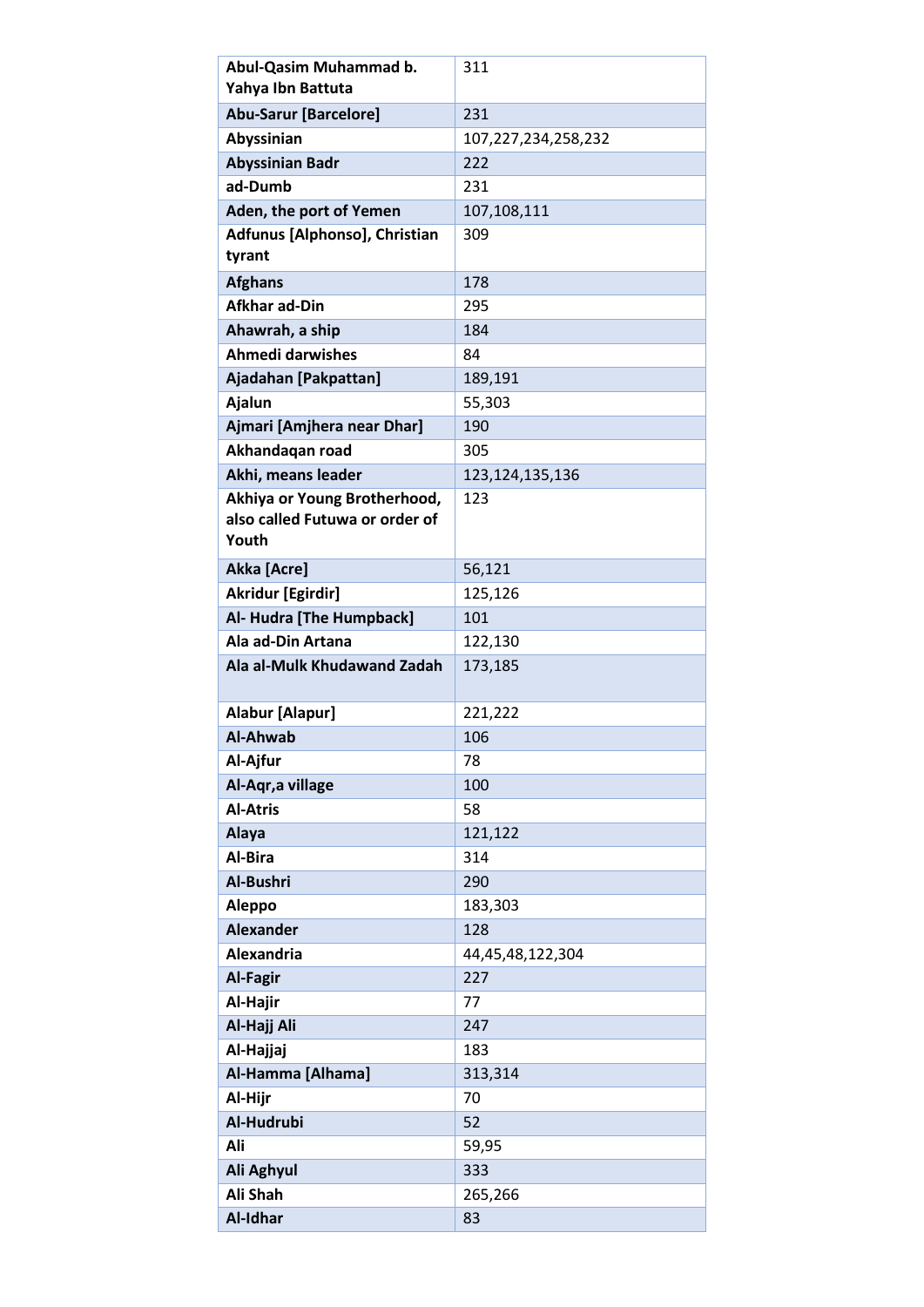| Abul-Qasim Muhammad b.         | 311                 |
|--------------------------------|---------------------|
| Yahya Ibn Battuta              |                     |
| <b>Abu-Sarur [Barcelore]</b>   | 231                 |
| Abyssinian                     | 107,227,234,258,232 |
| <b>Abyssinian Badr</b>         | 222                 |
| ad-Dumb                        | 231                 |
| Aden, the port of Yemen        | 107,108,111         |
| Adfunus [Alphonso], Christian  | 309                 |
| tyrant                         |                     |
| <b>Afghans</b>                 | 178                 |
| <b>Afkhar ad-Din</b>           | 295                 |
| Ahawrah, a ship                | 184                 |
| <b>Ahmedi darwishes</b>        | 84                  |
| Ajadahan [Pakpattan]           | 189,191             |
| Ajalun                         | 55,303              |
| Ajmari [Amjhera near Dhar]     | 190                 |
| Akhandaqan road                | 305                 |
| Akhi, means leader             | 123, 124, 135, 136  |
| Akhiya or Young Brotherhood,   | 123                 |
| also called Futuwa or order of |                     |
| Youth                          |                     |
| Akka [Acre]                    | 56,121              |
| <b>Akridur [Egirdir]</b>       | 125,126             |
| Al- Hudra [The Humpback]       | 101                 |
| Ala ad-Din Artana              | 122,130             |
|                                |                     |
| Ala al-Mulk Khudawand Zadah    | 173,185             |
|                                |                     |
| Alabur [Alapur]                | 221,222             |
| <b>Al-Ahwab</b>                | 106                 |
| Al-Ajfur                       | 78                  |
| Al-Aqr, a village              | 100                 |
| <b>Al-Atris</b>                | 58                  |
| Alaya                          | 121,122             |
| Al-Bira                        | 314                 |
| Al-Bushri                      | 290                 |
| Aleppo                         | 183,303             |
| <b>Alexander</b>               | 128                 |
| Alexandria                     | 44,45,48,122,304    |
| <b>Al-Fagir</b>                | 227                 |
| Al-Hajir                       | 77                  |
| Al-Hajj Ali                    | 247                 |
| Al-Hajjaj                      | 183                 |
| Al-Hamma [Alhama]              | 313,314             |
| Al-Hijr                        | 70                  |
| Al-Hudrubi                     | 52                  |
| Ali                            | 59,95               |
| Ali Aghyul                     | 333                 |
| Ali Shah<br>Al-Idhar           | 265,266<br>83       |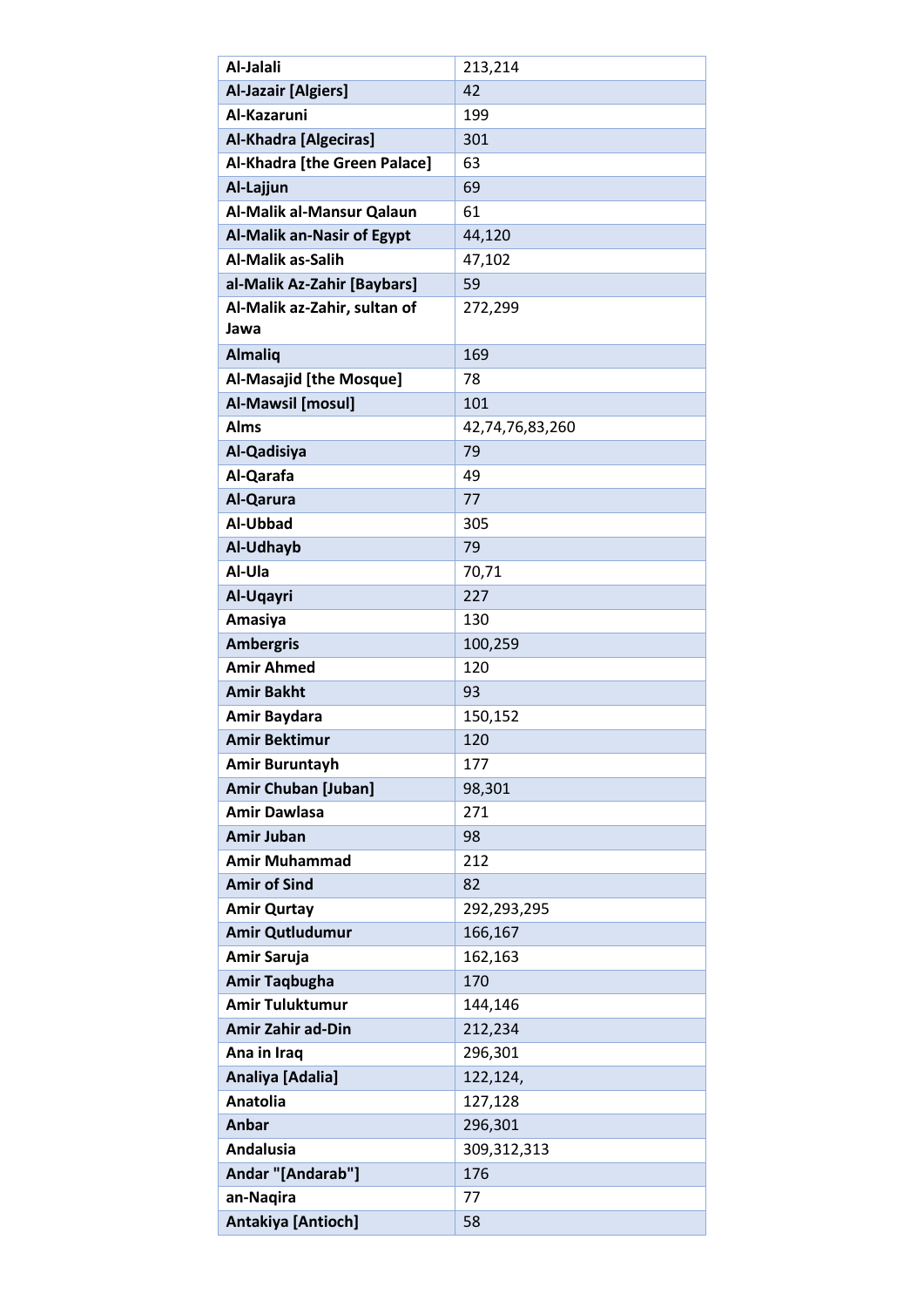| Al-Jalali                            | 213,214         |
|--------------------------------------|-----------------|
| <b>Al-Jazair [Algiers]</b>           | 42              |
| Al-Kazaruni                          | 199             |
| <b>Al-Khadra [Algeciras]</b>         | 301             |
| Al-Khadra [the Green Palace]         | 63              |
| Al-Lajjun                            | 69              |
| Al-Malik al-Mansur Qalaun            | 61              |
| <b>Al-Malik an-Nasir of Egypt</b>    | 44,120          |
| Al-Malik as-Salih                    | 47,102          |
| al-Malik Az-Zahir [Baybars]          | 59              |
| Al-Malik az-Zahir, sultan of<br>Jawa | 272,299         |
| <b>Almaliq</b>                       | 169             |
| <b>Al-Masajid [the Mosque]</b>       | 78              |
| Al-Mawsil [mosul]                    | 101             |
| <b>Alms</b>                          | 42,74,76,83,260 |
| Al-Qadisiya                          | 79              |
| Al-Qarafa                            | 49              |
| Al-Qarura                            | 77              |
| Al-Ubbad                             | 305             |
| Al-Udhayb                            | 79              |
| Al-Ula                               | 70,71           |
| Al-Uqayri                            | 227             |
| Amasiya                              | 130             |
| <b>Ambergris</b>                     | 100,259         |
| <b>Amir Ahmed</b>                    | 120             |
| <b>Amir Bakht</b>                    | 93              |
| Amir Baydara                         | 150,152         |
| <b>Amir Bektimur</b>                 | 120             |
| Amir Buruntayh                       | 177             |
| <b>Amir Chuban [Juban]</b>           | 98,301          |
| <b>Amir Dawlasa</b>                  | 271             |
| <b>Amir Juban</b>                    | 98              |
| <b>Amir Muhammad</b>                 | 212             |
| <b>Amir of Sind</b>                  | 82              |
| <b>Amir Qurtay</b>                   | 292,293,295     |
| Amir Qutludumur                      | 166,167         |
| Amir Saruja                          | 162,163         |
| <b>Amir Taqbugha</b>                 | 170             |
| <b>Amir Tuluktumur</b>               | 144,146         |
| <b>Amir Zahir ad-Din</b>             | 212,234         |
| Ana in Iraq                          | 296,301         |
| Analiya [Adalia]                     | 122,124,        |
| <b>Anatolia</b>                      | 127,128         |
| Anbar                                | 296,301         |
| <b>Andalusia</b>                     | 309,312,313     |
| Andar "[Andarab"]                    | 176             |
| an-Naqira                            | 77              |
| Antakiya [Antioch]                   | 58              |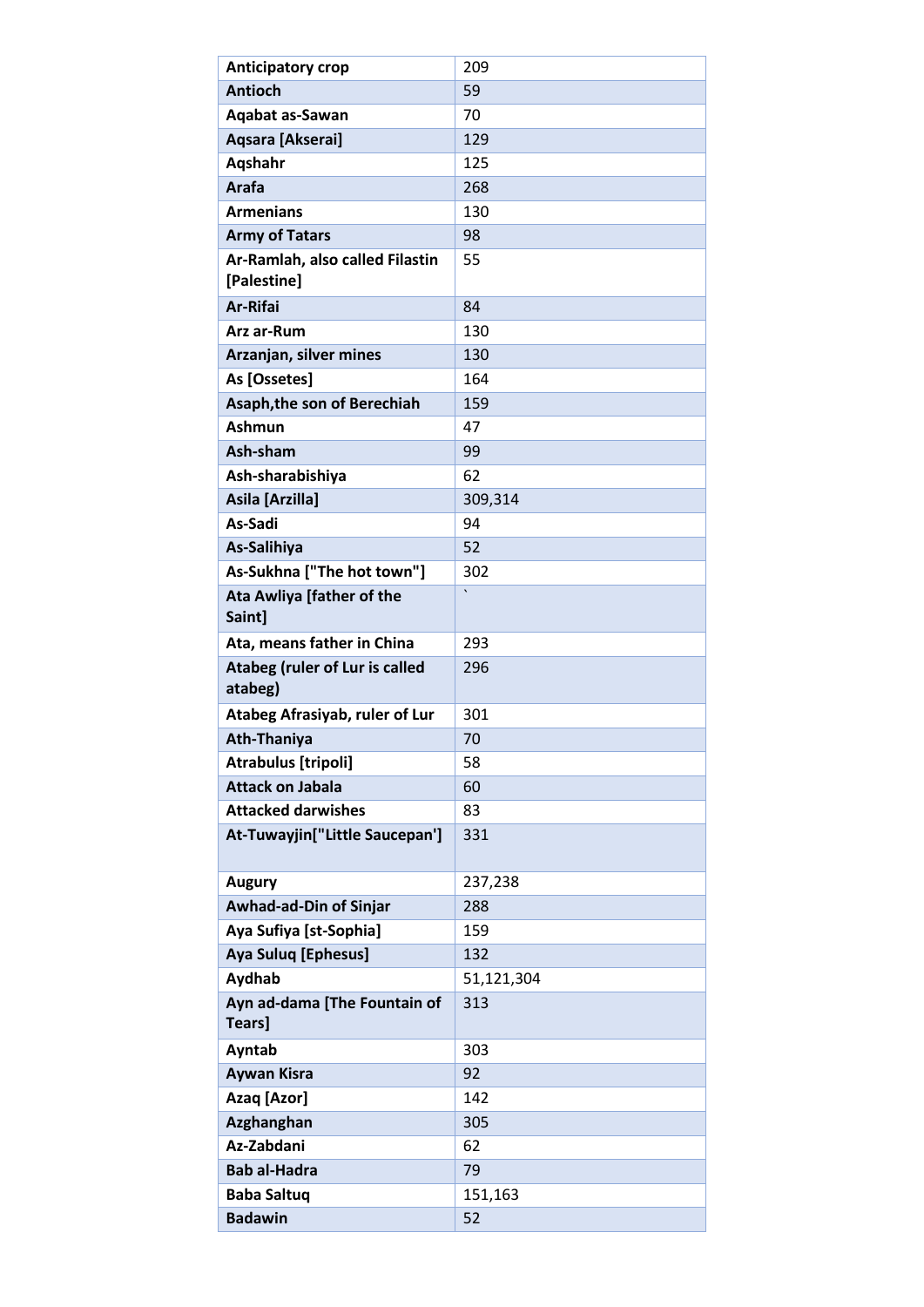| <b>Anticipatory crop</b>                         | 209        |
|--------------------------------------------------|------------|
| <b>Antioch</b>                                   | 59         |
| Aqabat as-Sawan                                  | 70         |
| Aqsara [Akserai]                                 | 129        |
| Aqshahr                                          | 125        |
| Arafa                                            | 268        |
| <b>Armenians</b>                                 | 130        |
| <b>Army of Tatars</b>                            | 98         |
| Ar-Ramlah, also called Filastin<br>[Palestine]   | 55         |
| <b>Ar-Rifai</b>                                  | 84         |
| Arz ar-Rum                                       | 130        |
| Arzanjan, silver mines                           | 130        |
| As [Ossetes]                                     | 164        |
| Asaph, the son of Berechiah                      | 159        |
| <b>Ashmun</b>                                    | 47         |
| Ash-sham                                         | 99         |
| Ash-sharabishiya                                 | 62         |
| Asila [Arzilla]                                  | 309,314    |
| As-Sadi                                          | 94         |
| As-Salihiya                                      | 52         |
| As-Sukhna ["The hot town"]                       | 302        |
| Ata Awliya [father of the<br>Saint]              | $\cdot$    |
| Ata, means father in China                       | 293        |
| <b>Atabeg (ruler of Lur is called</b><br>atabeg) | 296        |
| Atabeg Afrasiyab, ruler of Lur                   | 301        |
| <b>Ath-Thaniya</b>                               | 70         |
| <b>Atrabulus [tripoli]</b>                       | 58         |
| <b>Attack on Jabala</b>                          | 60         |
| <b>Attacked darwishes</b>                        | 83         |
| At-Tuwayjin["Little Saucepan']                   | 331        |
| <b>Augury</b>                                    | 237,238    |
| Awhad-ad-Din of Sinjar                           | 288        |
| Aya Sufiya [st-Sophia]                           | 159        |
| <b>Aya Suluq [Ephesus]</b>                       | 132        |
| Aydhab                                           | 51,121,304 |
| Ayn ad-dama [The Fountain of                     | 313        |
| Tears]                                           |            |
| Ayntab                                           | 303        |
| <b>Aywan Kisra</b>                               | 92         |
| Azaq [Azor]                                      | 142        |
| Azghanghan                                       | 305        |
| Az-Zabdani                                       | 62         |
| <b>Bab al-Hadra</b>                              | 79         |
| <b>Baba Saltuq</b>                               | 151,163    |
| <b>Badawin</b>                                   | 52         |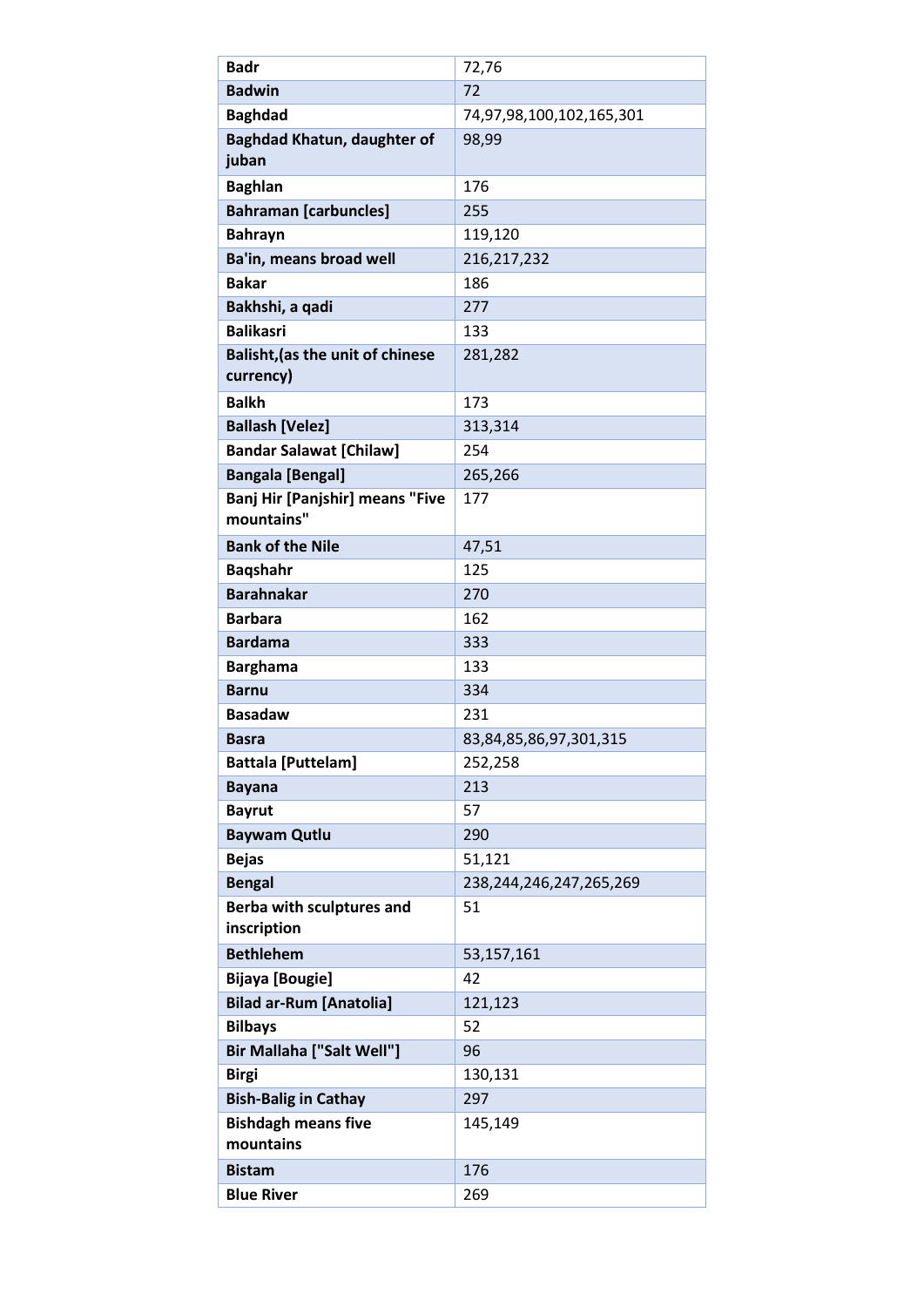| <b>Badr</b>                             | 72,76                        |
|-----------------------------------------|------------------------------|
| <b>Badwin</b>                           | 72                           |
| <b>Baghdad</b>                          | 74,97,98,100,102,165,301     |
| Baghdad Khatun, daughter of             | 98,99                        |
| juban                                   |                              |
| <b>Baghlan</b>                          | 176                          |
| <b>Bahraman [carbuncles]</b>            | 255                          |
| <b>Bahrayn</b>                          | 119,120                      |
| Ba'in, means broad well                 | 216,217,232                  |
| <b>Bakar</b>                            | 186                          |
| Bakhshi, a qadi                         | 277                          |
| <b>Balikasri</b>                        | 133                          |
| <b>Balisht, (as the unit of chinese</b> | 281,282                      |
| currency)                               |                              |
| <b>Balkh</b>                            | 173                          |
| <b>Ballash [Velez]</b>                  | 313,314                      |
| <b>Bandar Salawat [Chilaw]</b>          | 254                          |
| <b>Bangala [Bengal]</b>                 | 265,266                      |
| Banj Hir [Panjshir] means "Five         | 177                          |
| mountains"                              |                              |
| <b>Bank of the Nile</b>                 | 47,51                        |
| <b>Bagshahr</b>                         | 125                          |
| <b>Barahnakar</b>                       | 270                          |
| <b>Barbara</b>                          | 162                          |
| <b>Bardama</b>                          | 333                          |
| <b>Barghama</b>                         | 133                          |
| <b>Barnu</b>                            | 334                          |
| <b>Basadaw</b>                          | 231                          |
| Basra                                   | 83,84,85,86,97,301,315       |
| <b>Battala [Puttelam]</b>               | 252,258                      |
| <b>Bayana</b>                           | 213                          |
| <b>Bayrut</b>                           | 57                           |
| <b>Baywam Qutlu</b>                     | 290                          |
| <b>Bejas</b>                            | 51,121                       |
| <b>Bengal</b>                           | 238, 244, 246, 247, 265, 269 |
| <b>Berba with sculptures and</b>        | 51                           |
| inscription                             |                              |
| <b>Bethlehem</b>                        | 53,157,161                   |
| <b>Bijaya</b> [Bougie]                  | 42                           |
| <b>Bilad ar-Rum [Anatolia]</b>          | 121,123                      |
| <b>Bilbays</b>                          | 52                           |
| Bir Mallaha ["Salt Well"]               | 96                           |
| <b>Birgi</b>                            | 130,131                      |
| <b>Bish-Balig in Cathay</b>             | 297                          |
| <b>Bishdagh means five</b>              | 145,149                      |
| mountains                               |                              |
| <b>Bistam</b>                           | 176                          |
| <b>Blue River</b>                       | 269                          |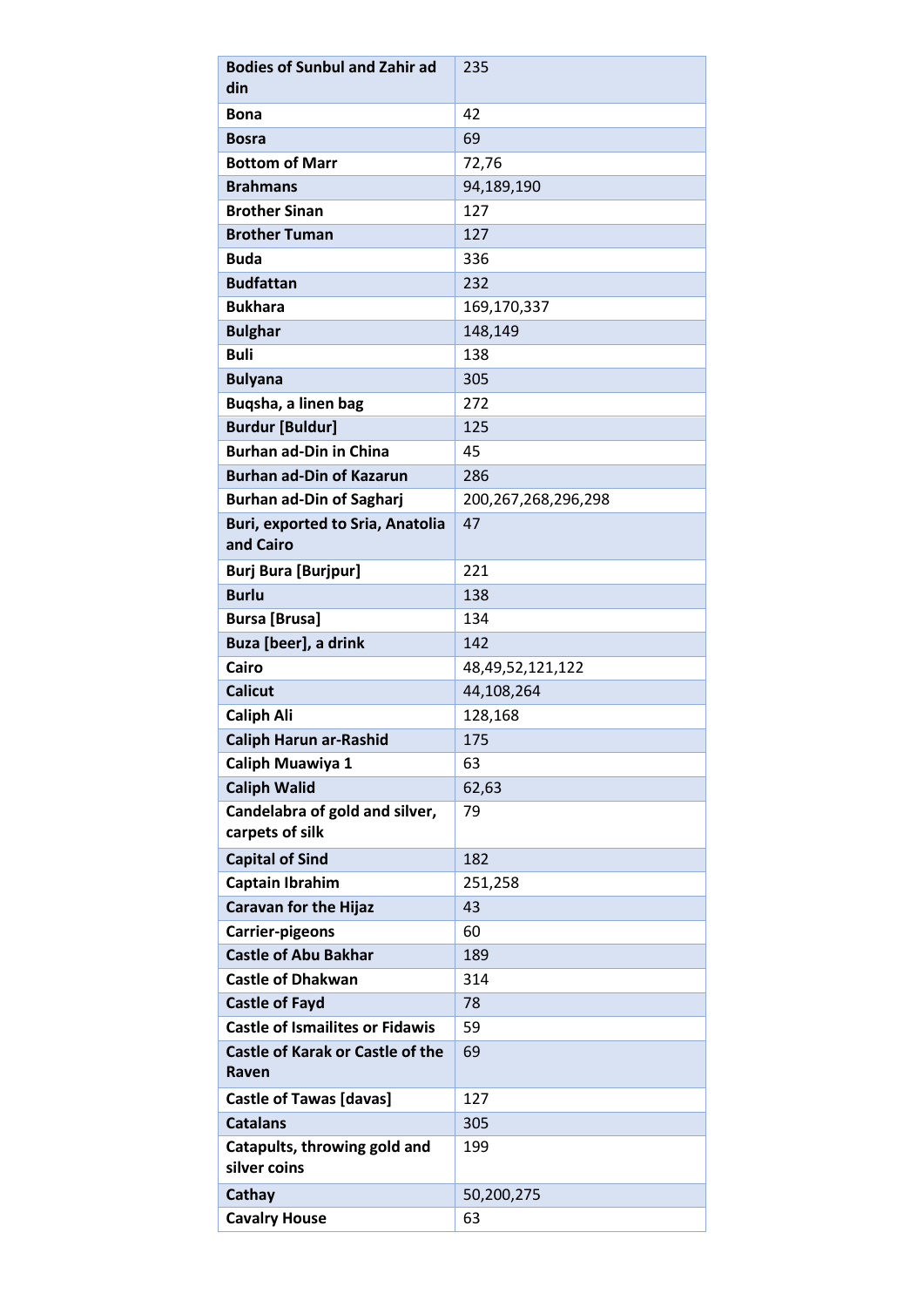| <b>Bodies of Sunbul and Zahir ad</b>                 | 235                 |
|------------------------------------------------------|---------------------|
| din                                                  |                     |
| <b>Bona</b>                                          | 42                  |
| <b>Bosra</b>                                         | 69                  |
| <b>Bottom of Marr</b>                                | 72,76               |
| <b>Brahmans</b>                                      | 94,189,190          |
| <b>Brother Sinan</b>                                 | 127                 |
| <b>Brother Tuman</b>                                 | 127                 |
| <b>Buda</b>                                          | 336                 |
| <b>Budfattan</b>                                     | 232                 |
| <b>Bukhara</b>                                       | 169,170,337         |
| <b>Bulghar</b>                                       | 148,149             |
| <b>Buli</b>                                          | 138                 |
| <b>Bulyana</b>                                       | 305                 |
| Buqsha, a linen bag                                  | 272                 |
| <b>Burdur [Buldur]</b>                               | 125                 |
| <b>Burhan ad-Din in China</b>                        | 45                  |
| <b>Burhan ad-Din of Kazarun</b>                      | 286                 |
| <b>Burhan ad-Din of Sagharj</b>                      | 200,267,268,296,298 |
| <b>Buri, exported to Sria, Anatolia</b><br>and Cairo | 47                  |
| <b>Burj Bura [Burjpur]</b>                           | 221                 |
| <b>Burlu</b>                                         | 138                 |
| <b>Bursa [Brusa]</b>                                 | 134                 |
| Buza [beer], a drink                                 | 142                 |
| Cairo                                                | 48,49,52,121,122    |
| <b>Calicut</b>                                       | 44,108,264          |
| <b>Caliph Ali</b>                                    | 128,168             |
| <b>Caliph Harun ar-Rashid</b>                        | 175                 |
| Caliph Muawiya 1                                     | 63                  |
| <b>Caliph Walid</b>                                  | 62,63               |
| Candelabra of gold and silver,<br>carpets of silk    | 79                  |
| <b>Capital of Sind</b>                               | 182                 |
| Captain Ibrahim                                      | 251,258             |
| <b>Caravan for the Hijaz</b>                         | 43                  |
| <b>Carrier-pigeons</b>                               | 60                  |
| <b>Castle of Abu Bakhar</b>                          | 189                 |
| <b>Castle of Dhakwan</b>                             | 314                 |
| <b>Castle of Fayd</b>                                | 78                  |
| <b>Castle of Ismailites or Fidawis</b>               | 59                  |
| Castle of Karak or Castle of the<br>Raven            | 69                  |
| <b>Castle of Tawas [davas]</b>                       | 127                 |
| <b>Catalans</b>                                      | 305                 |
| Catapults, throwing gold and<br>silver coins         | 199                 |
| Cathay                                               | 50,200,275          |
| <b>Cavalry House</b>                                 | 63                  |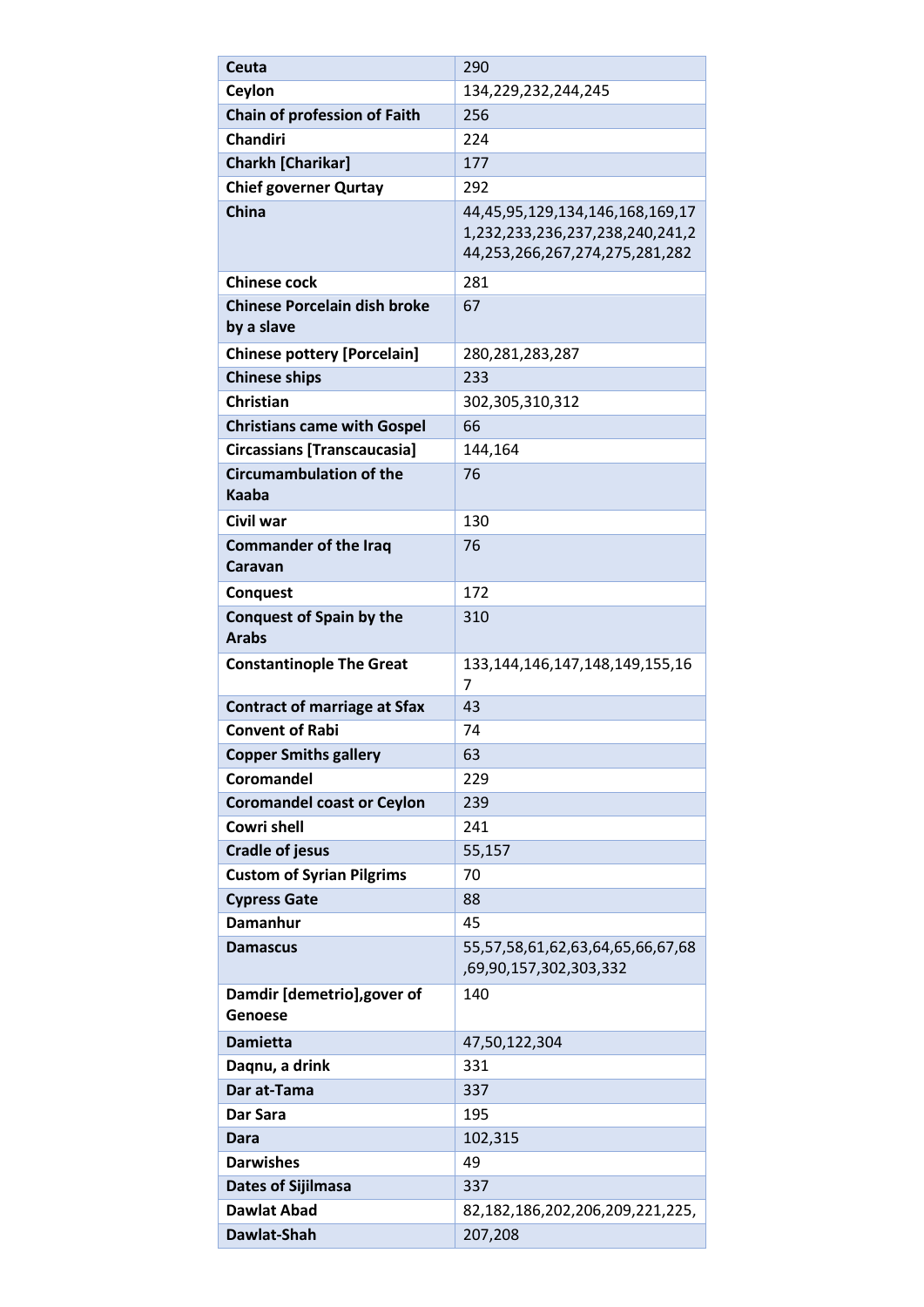| Ceuta                                             | 290                                                                                                  |
|---------------------------------------------------|------------------------------------------------------------------------------------------------------|
| Ceylon                                            | 134,229,232,244,245                                                                                  |
| Chain of profession of Faith                      | 256                                                                                                  |
| <b>Chandiri</b>                                   | 224                                                                                                  |
| <b>Charkh [Charikar]</b>                          | 177                                                                                                  |
| <b>Chief governer Qurtay</b>                      | 292                                                                                                  |
| <b>China</b>                                      | 44,45,95,129,134,146,168,169,17<br>1,232,233,236,237,238,240,241,2<br>44,253,266,267,274,275,281,282 |
| <b>Chinese cock</b>                               | 281                                                                                                  |
| <b>Chinese Porcelain dish broke</b><br>by a slave | 67                                                                                                   |
| <b>Chinese pottery [Porcelain]</b>                | 280, 281, 283, 287                                                                                   |
| <b>Chinese ships</b>                              | 233                                                                                                  |
| <b>Christian</b>                                  | 302,305,310,312                                                                                      |
| <b>Christians came with Gospel</b>                | 66                                                                                                   |
| <b>Circassians [Transcaucasia]</b>                | 144,164                                                                                              |
| <b>Circumambulation of the</b><br><b>Kaaba</b>    | 76                                                                                                   |
| Civil war                                         | 130                                                                                                  |
| <b>Commander of the Iraq</b><br>Caravan           | 76                                                                                                   |
| <b>Conquest</b>                                   | 172                                                                                                  |
| <b>Conquest of Spain by the</b>                   | 310                                                                                                  |
| <b>Arabs</b>                                      |                                                                                                      |
|                                                   |                                                                                                      |
| <b>Constantinople The Great</b>                   | 133, 144, 146, 147, 148, 149, 155, 16<br>7                                                           |
| <b>Contract of marriage at Sfax</b>               | 43                                                                                                   |
| <b>Convent of Rabi</b>                            | 74                                                                                                   |
| <b>Copper Smiths gallery</b>                      | 63                                                                                                   |
| Coromandel                                        | 229                                                                                                  |
| <b>Coromandel coast or Ceylon</b>                 | 239                                                                                                  |
| <b>Cowri shell</b>                                | 241                                                                                                  |
| <b>Cradle of jesus</b>                            | 55,157                                                                                               |
| <b>Custom of Syrian Pilgrims</b>                  | 70                                                                                                   |
| <b>Cypress Gate</b>                               | 88                                                                                                   |
| <b>Damanhur</b>                                   | 45                                                                                                   |
| <b>Damascus</b>                                   | 55,57,58,61,62,63,64,65,66,67,68<br>,69,90,157,302,303,332                                           |
| Damdir [demetrio], gover of<br>Genoese            | 140                                                                                                  |
| <b>Damietta</b>                                   | 47,50,122,304                                                                                        |
| Dagnu, a drink                                    | 331                                                                                                  |
| Dar at-Tama                                       | 337                                                                                                  |
| Dar Sara                                          | 195                                                                                                  |
| Dara                                              | 102,315                                                                                              |
| <b>Darwishes</b>                                  | 49                                                                                                   |
| <b>Dates of Sijilmasa</b>                         | 337                                                                                                  |
| <b>Dawlat Abad</b>                                | 82,182,186,202,206,209,221,225,                                                                      |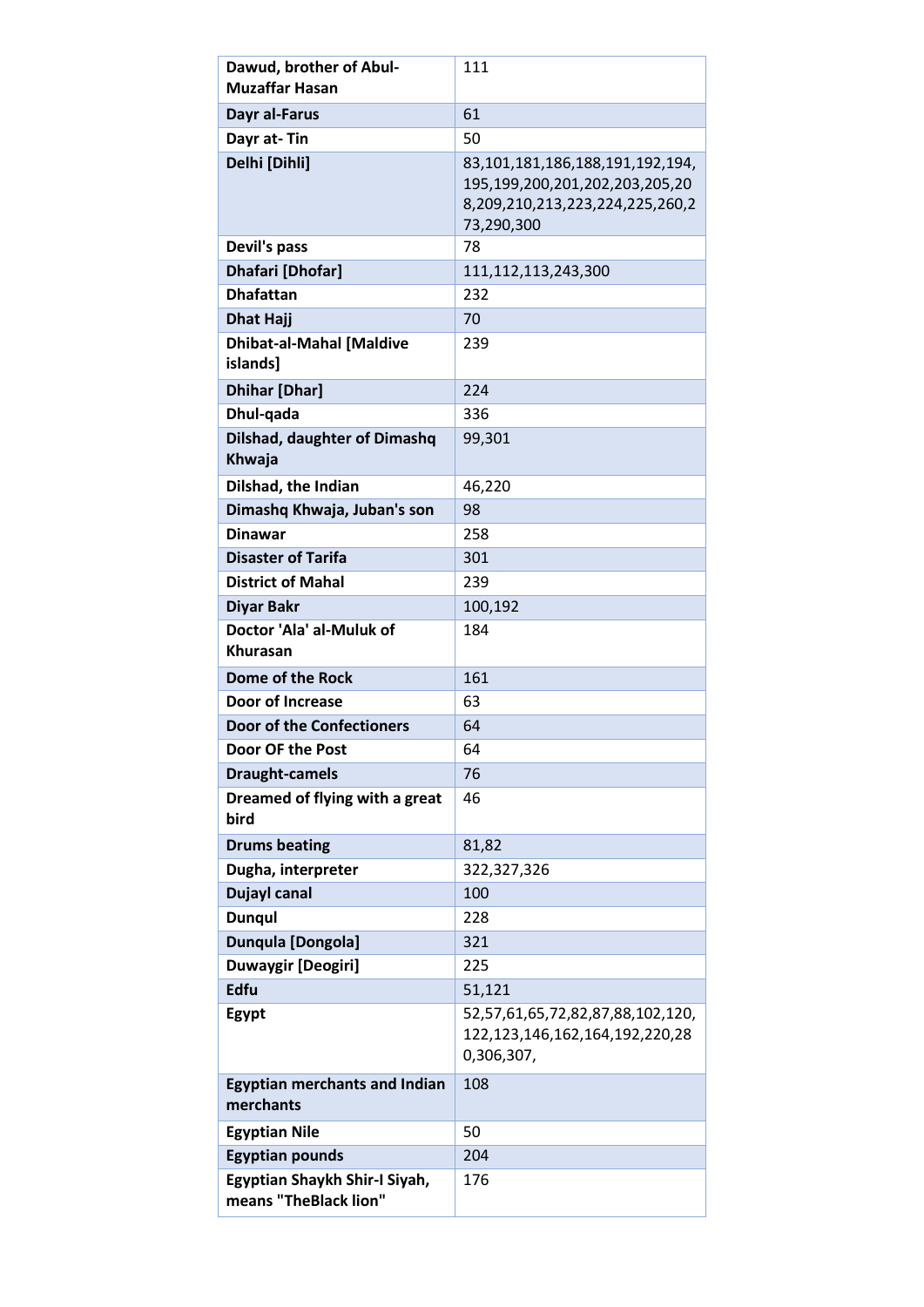| Dawud, brother of Abul-<br><b>Muzaffar Hasan</b>       | 111                                                                                                                |
|--------------------------------------------------------|--------------------------------------------------------------------------------------------------------------------|
| Dayr al-Farus                                          | 61                                                                                                                 |
| Dayr at-Tin                                            | 50                                                                                                                 |
| Delhi [Dihli]                                          | 83,101,181,186,188,191,192,194,<br>195,199,200,201,202,203,205,20<br>8,209,210,213,223,224,225,260,2<br>73,290,300 |
| Devil's pass                                           | 78                                                                                                                 |
| Dhafari [Dhofar]                                       | 111,112,113,243,300                                                                                                |
| <b>Dhafattan</b>                                       | 232                                                                                                                |
| <b>Dhat Hajj</b>                                       | 70                                                                                                                 |
| <b>Dhibat-al-Mahal [Maldive</b><br>islands]            | 239                                                                                                                |
| <b>Dhihar [Dhar]</b>                                   | 224                                                                                                                |
| Dhul-qada                                              | 336                                                                                                                |
| <b>Dilshad, daughter of Dimashq</b><br>Khwaja          | 99,301                                                                                                             |
| Dilshad, the Indian                                    | 46,220                                                                                                             |
| Dimashq Khwaja, Juban's son                            | 98                                                                                                                 |
| <b>Dinawar</b>                                         | 258                                                                                                                |
| <b>Disaster of Tarifa</b>                              | 301                                                                                                                |
| <b>District of Mahal</b>                               | 239                                                                                                                |
| <b>Diyar Bakr</b>                                      | 100,192                                                                                                            |
| Doctor 'Ala' al-Muluk of<br>Khurasan                   | 184                                                                                                                |
| Dome of the Rock                                       | 161                                                                                                                |
| <b>Door of Increase</b>                                | 63                                                                                                                 |
| <b>Door of the Confectioners</b>                       | 64                                                                                                                 |
| Door OF the Post                                       | 64                                                                                                                 |
| <b>Draught-camels</b>                                  | 76                                                                                                                 |
| Dreamed of flying with a great<br>bird                 | 46                                                                                                                 |
| <b>Drums beating</b>                                   | 81,82                                                                                                              |
| Dugha, interpreter                                     | 322,327,326                                                                                                        |
| <b>Dujayl canal</b>                                    | 100                                                                                                                |
| <b>Dungul</b>                                          | 228                                                                                                                |
| Dunqula [Dongola]                                      | 321                                                                                                                |
| <b>Duwaygir [Deogiri]</b>                              | 225                                                                                                                |
| <b>Edfu</b>                                            | 51,121                                                                                                             |
| Egypt                                                  | 52,57,61,65,72,82,87,88,102,120,<br>122, 123, 146, 162, 164, 192, 220, 28<br>0,306,307,                            |
| <b>Egyptian merchants and Indian</b><br>merchants      | 108                                                                                                                |
| <b>Egyptian Nile</b>                                   | 50                                                                                                                 |
| <b>Egyptian pounds</b>                                 | 204                                                                                                                |
| Egyptian Shaykh Shir-I Siyah,<br>means "TheBlack lion" | 176                                                                                                                |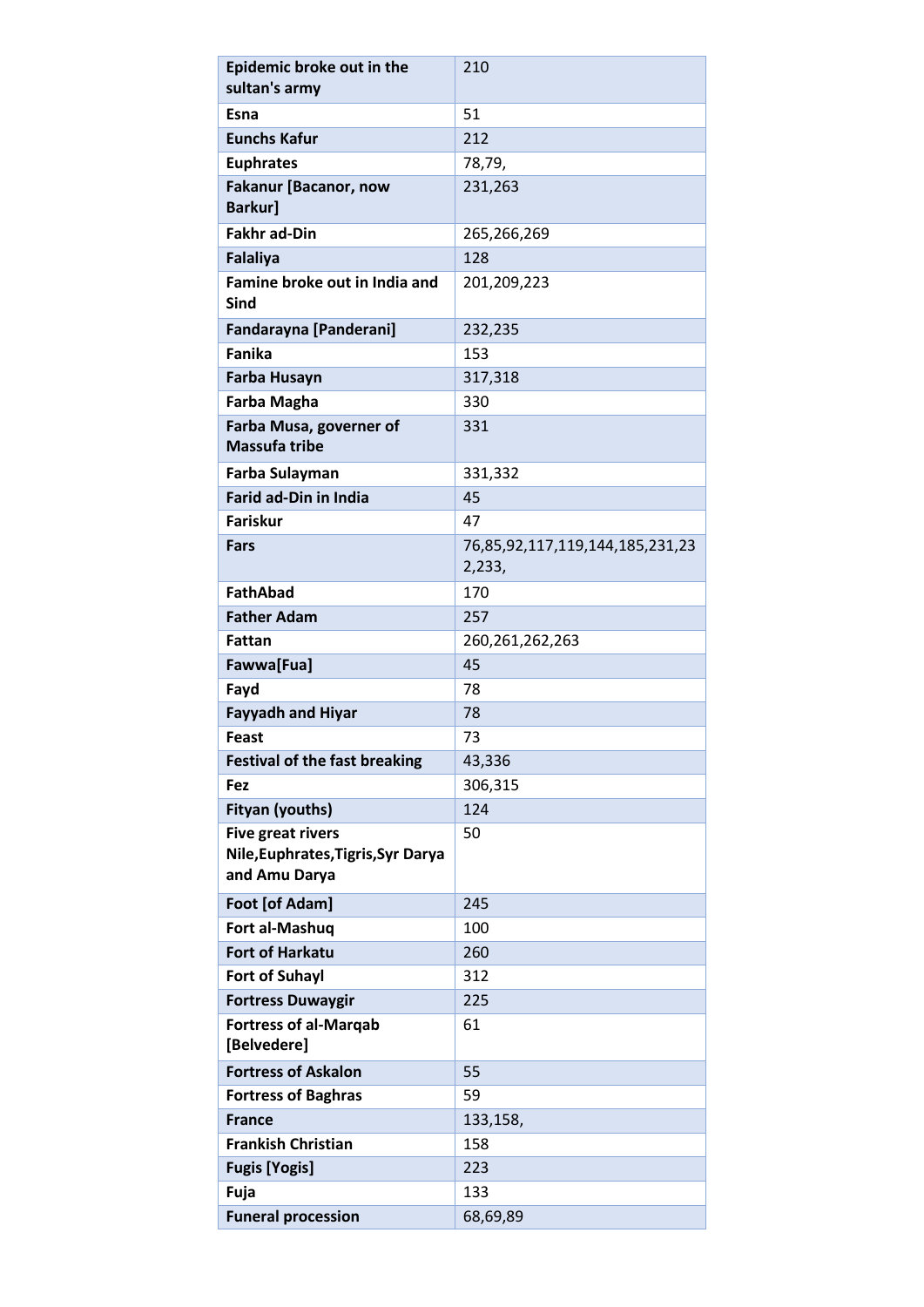| Epidemic broke out in the                                                       | 210                                       |
|---------------------------------------------------------------------------------|-------------------------------------------|
| sultan's army                                                                   |                                           |
| Esna                                                                            | 51                                        |
| <b>Eunchs Kafur</b>                                                             | 212                                       |
| <b>Euphrates</b>                                                                | 78,79,                                    |
| <b>Fakanur [Bacanor, now</b><br><b>Barkur]</b>                                  | 231,263                                   |
| <b>Fakhr ad-Din</b>                                                             | 265,266,269                               |
| <b>Falaliya</b>                                                                 | 128                                       |
| Famine broke out in India and<br><b>Sind</b>                                    | 201,209,223                               |
| <b>Fandarayna [Panderani]</b>                                                   | 232,235                                   |
| <b>Fanika</b>                                                                   | 153                                       |
| <b>Farba Husayn</b>                                                             | 317,318                                   |
| <b>Farba Magha</b>                                                              | 330                                       |
| Farba Musa, governer of<br><b>Massufa tribe</b>                                 | 331                                       |
| Farba Sulayman                                                                  | 331,332                                   |
| <b>Farid ad-Din in India</b>                                                    | 45                                        |
| <b>Fariskur</b>                                                                 | 47                                        |
| <b>Fars</b>                                                                     | 76,85,92,117,119,144,185,231,23<br>2,233, |
| <b>FathAbad</b>                                                                 | 170                                       |
| <b>Father Adam</b>                                                              | 257                                       |
| Fattan                                                                          | 260, 261, 262, 263                        |
| Fawwa[Fua]                                                                      | 45                                        |
| Fayd                                                                            | 78                                        |
| <b>Fayyadh and Hiyar</b>                                                        | 78                                        |
| Feast                                                                           | 73                                        |
| <b>Festival of the fast breaking</b>                                            | 43,336                                    |
| Fez                                                                             | 306,315                                   |
| <b>Fityan (youths)</b>                                                          | 124                                       |
| <b>Five great rivers</b><br>Nile, Euphrates, Tigris, Syr Darya<br>and Amu Darya | 50                                        |
| Foot [of Adam]                                                                  | 245                                       |
| Fort al-Mashuq                                                                  | 100                                       |
| <b>Fort of Harkatu</b>                                                          | 260                                       |
| <b>Fort of Suhayl</b>                                                           | 312                                       |
| <b>Fortress Duwaygir</b>                                                        | 225                                       |
| <b>Fortress of al-Marqab</b>                                                    | 61                                        |
| [Belvedere]                                                                     |                                           |
| <b>Fortress of Askalon</b>                                                      | 55                                        |
| <b>Fortress of Baghras</b>                                                      | 59                                        |
| <b>France</b>                                                                   | 133,158,                                  |
| <b>Frankish Christian</b>                                                       | 158                                       |
| <b>Fugis [Yogis]</b>                                                            | 223                                       |
| Fuja                                                                            | 133                                       |
| <b>Funeral procession</b>                                                       | 68,69,89                                  |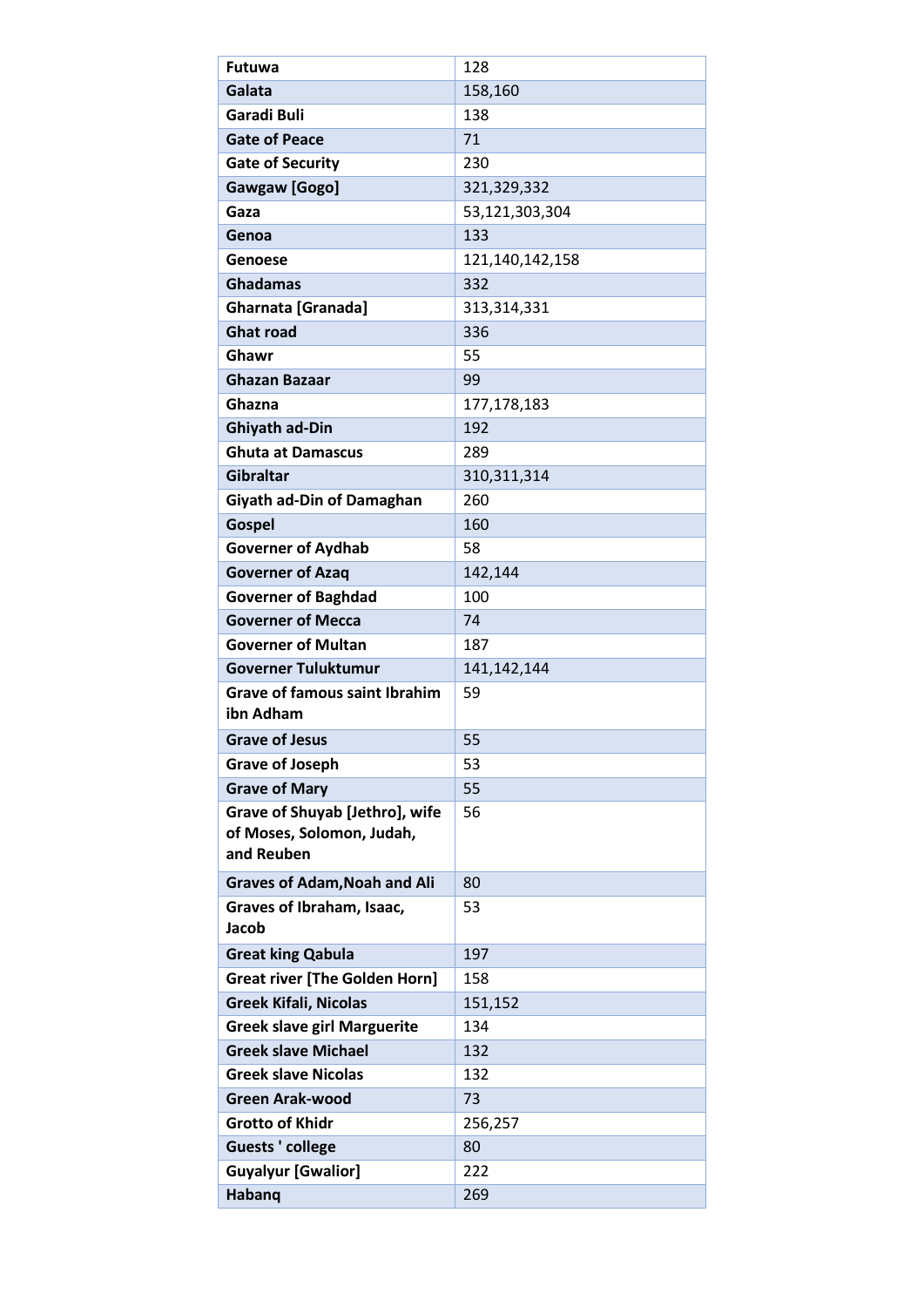| Galata<br>158,160<br>Garadi Buli<br>138<br><b>Gate of Peace</b><br>71<br><b>Gate of Security</b><br>230<br><b>Gawgaw</b> [Gogo]<br>321,329,332<br>Gaza<br>53,121,303,304<br>133<br>Genoa<br>121,140,142,158<br>Genoese<br><b>Ghadamas</b><br>332<br><b>Gharnata [Granada]</b><br>313,314,331<br><b>Ghat road</b><br>336<br>Ghawr<br>55<br><b>Ghazan Bazaar</b><br>99<br>Ghazna<br>177,178,183<br><b>Ghiyath ad-Din</b><br>192<br><b>Ghuta at Damascus</b><br>289<br><b>Gibraltar</b><br>310, 311, 314<br>Giyath ad-Din of Damaghan<br>260<br><b>Gospel</b><br>160<br>58<br><b>Governer of Aydhab</b><br><b>Governer of Azaq</b><br>142,144<br><b>Governer of Baghdad</b><br>100<br><b>Governer of Mecca</b><br>74<br><b>Governer of Multan</b><br>187<br><b>Governer Tuluktumur</b><br>141, 142, 144<br><b>Grave of famous saint Ibrahim</b><br>59<br>ibn Adham<br>55<br><b>Grave of Jesus</b><br>53<br><b>Grave of Joseph</b><br>55<br><b>Grave of Mary</b> |
|--------------------------------------------------------------------------------------------------------------------------------------------------------------------------------------------------------------------------------------------------------------------------------------------------------------------------------------------------------------------------------------------------------------------------------------------------------------------------------------------------------------------------------------------------------------------------------------------------------------------------------------------------------------------------------------------------------------------------------------------------------------------------------------------------------------------------------------------------------------------------------------------------------------------------------------------------------------|
|                                                                                                                                                                                                                                                                                                                                                                                                                                                                                                                                                                                                                                                                                                                                                                                                                                                                                                                                                              |
|                                                                                                                                                                                                                                                                                                                                                                                                                                                                                                                                                                                                                                                                                                                                                                                                                                                                                                                                                              |
|                                                                                                                                                                                                                                                                                                                                                                                                                                                                                                                                                                                                                                                                                                                                                                                                                                                                                                                                                              |
|                                                                                                                                                                                                                                                                                                                                                                                                                                                                                                                                                                                                                                                                                                                                                                                                                                                                                                                                                              |
|                                                                                                                                                                                                                                                                                                                                                                                                                                                                                                                                                                                                                                                                                                                                                                                                                                                                                                                                                              |
|                                                                                                                                                                                                                                                                                                                                                                                                                                                                                                                                                                                                                                                                                                                                                                                                                                                                                                                                                              |
|                                                                                                                                                                                                                                                                                                                                                                                                                                                                                                                                                                                                                                                                                                                                                                                                                                                                                                                                                              |
|                                                                                                                                                                                                                                                                                                                                                                                                                                                                                                                                                                                                                                                                                                                                                                                                                                                                                                                                                              |
|                                                                                                                                                                                                                                                                                                                                                                                                                                                                                                                                                                                                                                                                                                                                                                                                                                                                                                                                                              |
|                                                                                                                                                                                                                                                                                                                                                                                                                                                                                                                                                                                                                                                                                                                                                                                                                                                                                                                                                              |
|                                                                                                                                                                                                                                                                                                                                                                                                                                                                                                                                                                                                                                                                                                                                                                                                                                                                                                                                                              |
|                                                                                                                                                                                                                                                                                                                                                                                                                                                                                                                                                                                                                                                                                                                                                                                                                                                                                                                                                              |
|                                                                                                                                                                                                                                                                                                                                                                                                                                                                                                                                                                                                                                                                                                                                                                                                                                                                                                                                                              |
|                                                                                                                                                                                                                                                                                                                                                                                                                                                                                                                                                                                                                                                                                                                                                                                                                                                                                                                                                              |
|                                                                                                                                                                                                                                                                                                                                                                                                                                                                                                                                                                                                                                                                                                                                                                                                                                                                                                                                                              |
|                                                                                                                                                                                                                                                                                                                                                                                                                                                                                                                                                                                                                                                                                                                                                                                                                                                                                                                                                              |
|                                                                                                                                                                                                                                                                                                                                                                                                                                                                                                                                                                                                                                                                                                                                                                                                                                                                                                                                                              |
|                                                                                                                                                                                                                                                                                                                                                                                                                                                                                                                                                                                                                                                                                                                                                                                                                                                                                                                                                              |
|                                                                                                                                                                                                                                                                                                                                                                                                                                                                                                                                                                                                                                                                                                                                                                                                                                                                                                                                                              |
|                                                                                                                                                                                                                                                                                                                                                                                                                                                                                                                                                                                                                                                                                                                                                                                                                                                                                                                                                              |
|                                                                                                                                                                                                                                                                                                                                                                                                                                                                                                                                                                                                                                                                                                                                                                                                                                                                                                                                                              |
|                                                                                                                                                                                                                                                                                                                                                                                                                                                                                                                                                                                                                                                                                                                                                                                                                                                                                                                                                              |
|                                                                                                                                                                                                                                                                                                                                                                                                                                                                                                                                                                                                                                                                                                                                                                                                                                                                                                                                                              |
|                                                                                                                                                                                                                                                                                                                                                                                                                                                                                                                                                                                                                                                                                                                                                                                                                                                                                                                                                              |
|                                                                                                                                                                                                                                                                                                                                                                                                                                                                                                                                                                                                                                                                                                                                                                                                                                                                                                                                                              |
|                                                                                                                                                                                                                                                                                                                                                                                                                                                                                                                                                                                                                                                                                                                                                                                                                                                                                                                                                              |
|                                                                                                                                                                                                                                                                                                                                                                                                                                                                                                                                                                                                                                                                                                                                                                                                                                                                                                                                                              |
|                                                                                                                                                                                                                                                                                                                                                                                                                                                                                                                                                                                                                                                                                                                                                                                                                                                                                                                                                              |
|                                                                                                                                                                                                                                                                                                                                                                                                                                                                                                                                                                                                                                                                                                                                                                                                                                                                                                                                                              |
|                                                                                                                                                                                                                                                                                                                                                                                                                                                                                                                                                                                                                                                                                                                                                                                                                                                                                                                                                              |
| Grave of Shuyab [Jethro], wife<br>56                                                                                                                                                                                                                                                                                                                                                                                                                                                                                                                                                                                                                                                                                                                                                                                                                                                                                                                         |
| of Moses, Solomon, Judah,<br>and Reuben                                                                                                                                                                                                                                                                                                                                                                                                                                                                                                                                                                                                                                                                                                                                                                                                                                                                                                                      |
|                                                                                                                                                                                                                                                                                                                                                                                                                                                                                                                                                                                                                                                                                                                                                                                                                                                                                                                                                              |
| 80<br><b>Graves of Adam, Noah and Ali</b>                                                                                                                                                                                                                                                                                                                                                                                                                                                                                                                                                                                                                                                                                                                                                                                                                                                                                                                    |
| Graves of Ibraham, Isaac,<br>53<br>Jacob                                                                                                                                                                                                                                                                                                                                                                                                                                                                                                                                                                                                                                                                                                                                                                                                                                                                                                                     |
| <b>Great king Qabula</b><br>197                                                                                                                                                                                                                                                                                                                                                                                                                                                                                                                                                                                                                                                                                                                                                                                                                                                                                                                              |
| <b>Great river [The Golden Horn]</b><br>158                                                                                                                                                                                                                                                                                                                                                                                                                                                                                                                                                                                                                                                                                                                                                                                                                                                                                                                  |
| <b>Greek Kifali, Nicolas</b><br>151,152                                                                                                                                                                                                                                                                                                                                                                                                                                                                                                                                                                                                                                                                                                                                                                                                                                                                                                                      |
| <b>Greek slave girl Marguerite</b><br>134                                                                                                                                                                                                                                                                                                                                                                                                                                                                                                                                                                                                                                                                                                                                                                                                                                                                                                                    |
| <b>Greek slave Michael</b><br>132                                                                                                                                                                                                                                                                                                                                                                                                                                                                                                                                                                                                                                                                                                                                                                                                                                                                                                                            |
| <b>Greek slave Nicolas</b><br>132                                                                                                                                                                                                                                                                                                                                                                                                                                                                                                                                                                                                                                                                                                                                                                                                                                                                                                                            |
| <b>Green Arak-wood</b><br>73                                                                                                                                                                                                                                                                                                                                                                                                                                                                                                                                                                                                                                                                                                                                                                                                                                                                                                                                 |
| <b>Grotto of Khidr</b><br>256,257                                                                                                                                                                                                                                                                                                                                                                                                                                                                                                                                                                                                                                                                                                                                                                                                                                                                                                                            |
| <b>Guests ' college</b><br>80                                                                                                                                                                                                                                                                                                                                                                                                                                                                                                                                                                                                                                                                                                                                                                                                                                                                                                                                |
| <b>Guyalyur [Gwalior]</b><br>222                                                                                                                                                                                                                                                                                                                                                                                                                                                                                                                                                                                                                                                                                                                                                                                                                                                                                                                             |
| Habanq<br>269                                                                                                                                                                                                                                                                                                                                                                                                                                                                                                                                                                                                                                                                                                                                                                                                                                                                                                                                                |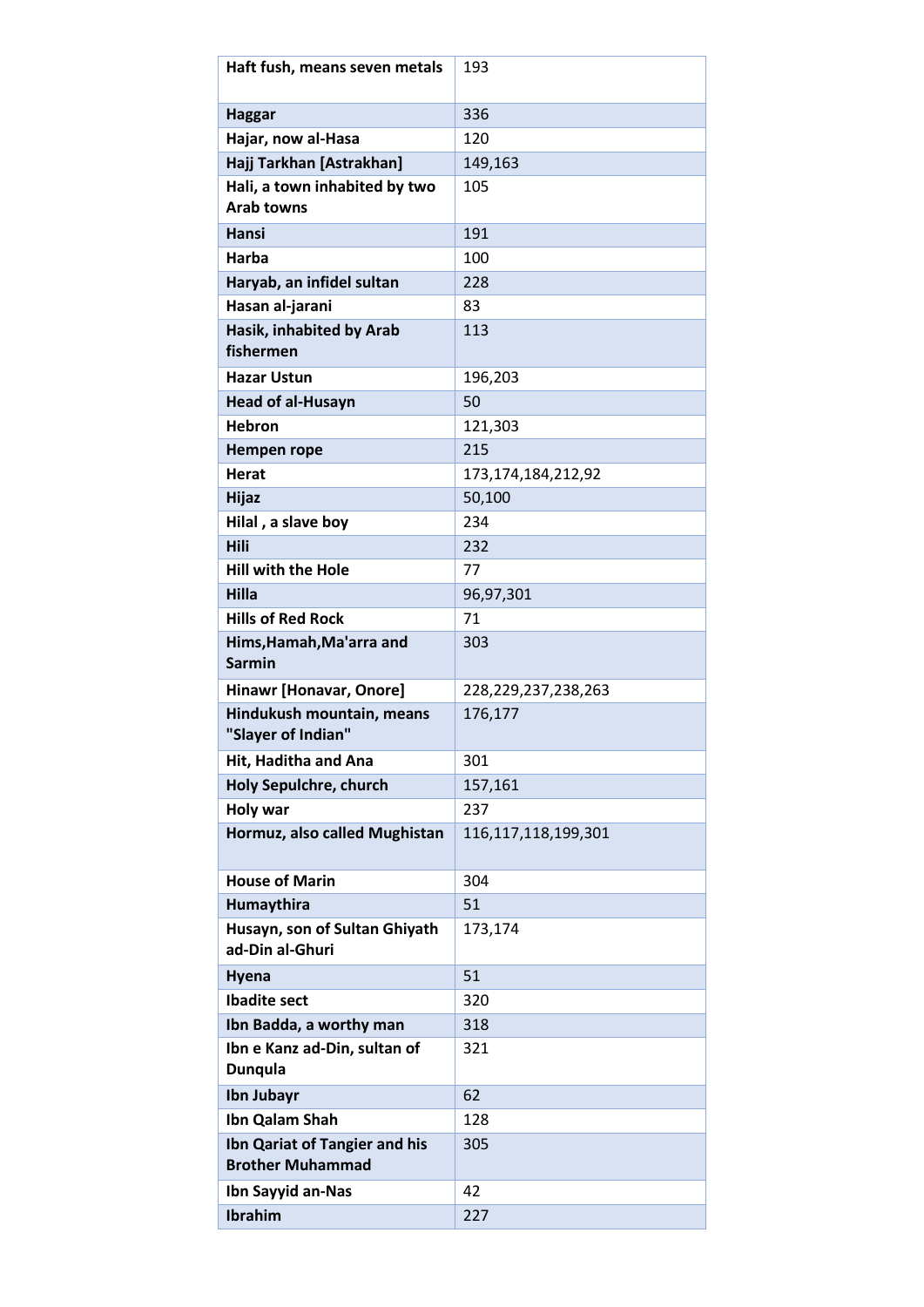| Haft fush, means seven metals                            | 193                     |
|----------------------------------------------------------|-------------------------|
| <b>Haggar</b>                                            | 336                     |
| Hajar, now al-Hasa                                       | 120                     |
| Hajj Tarkhan [Astrakhan]                                 | 149,163                 |
| Hali, a town inhabited by two<br><b>Arab towns</b>       | 105                     |
| Hansi                                                    | 191                     |
| Harba                                                    | 100                     |
| Haryab, an infidel sultan                                | 228                     |
| Hasan al-jarani                                          | 83                      |
| Hasik, inhabited by Arab<br>fishermen                    | 113                     |
| <b>Hazar Ustun</b>                                       | 196,203                 |
| <b>Head of al-Husayn</b>                                 | 50                      |
| <b>Hebron</b>                                            | 121,303                 |
| Hempen rope                                              | 215                     |
| <b>Herat</b>                                             | 173, 174, 184, 212, 92  |
| <b>Hijaz</b>                                             | 50,100                  |
| Hilal, a slave boy                                       | 234                     |
| Hili                                                     | 232                     |
| <b>Hill with the Hole</b>                                | 77                      |
| Hilla                                                    | 96,97,301               |
| <b>Hills of Red Rock</b>                                 | 71                      |
| Hims, Hamah, Ma'arra and<br><b>Sarmin</b>                | 303                     |
| Hinawr [Honavar, Onore]                                  | 228, 229, 237, 238, 263 |
| Hindukush mountain, means<br>"Slayer of Indian"          | 176,177                 |
| Hit, Haditha and Ana                                     | 301                     |
| Holy Sepulchre, church                                   | 157,161                 |
| Holy war                                                 | 237                     |
| Hormuz, also called Mughistan                            | 116, 117, 118, 199, 301 |
| <b>House of Marin</b>                                    | 304                     |
| Humaythira                                               | 51                      |
| Husayn, son of Sultan Ghiyath<br>ad-Din al-Ghuri         | 173,174                 |
| Hyena                                                    | 51                      |
| <b>Ibadite sect</b>                                      | 320                     |
| Ibn Badda, a worthy man                                  | 318                     |
| Ibn e Kanz ad-Din, sultan of<br><b>Dunqula</b>           | 321                     |
| Ibn Jubayr                                               | 62                      |
| Ibn Qalam Shah                                           | 128                     |
| Ibn Qariat of Tangier and his<br><b>Brother Muhammad</b> | 305                     |
| Ibn Sayyid an-Nas                                        | 42                      |
| Ibrahim                                                  | 227                     |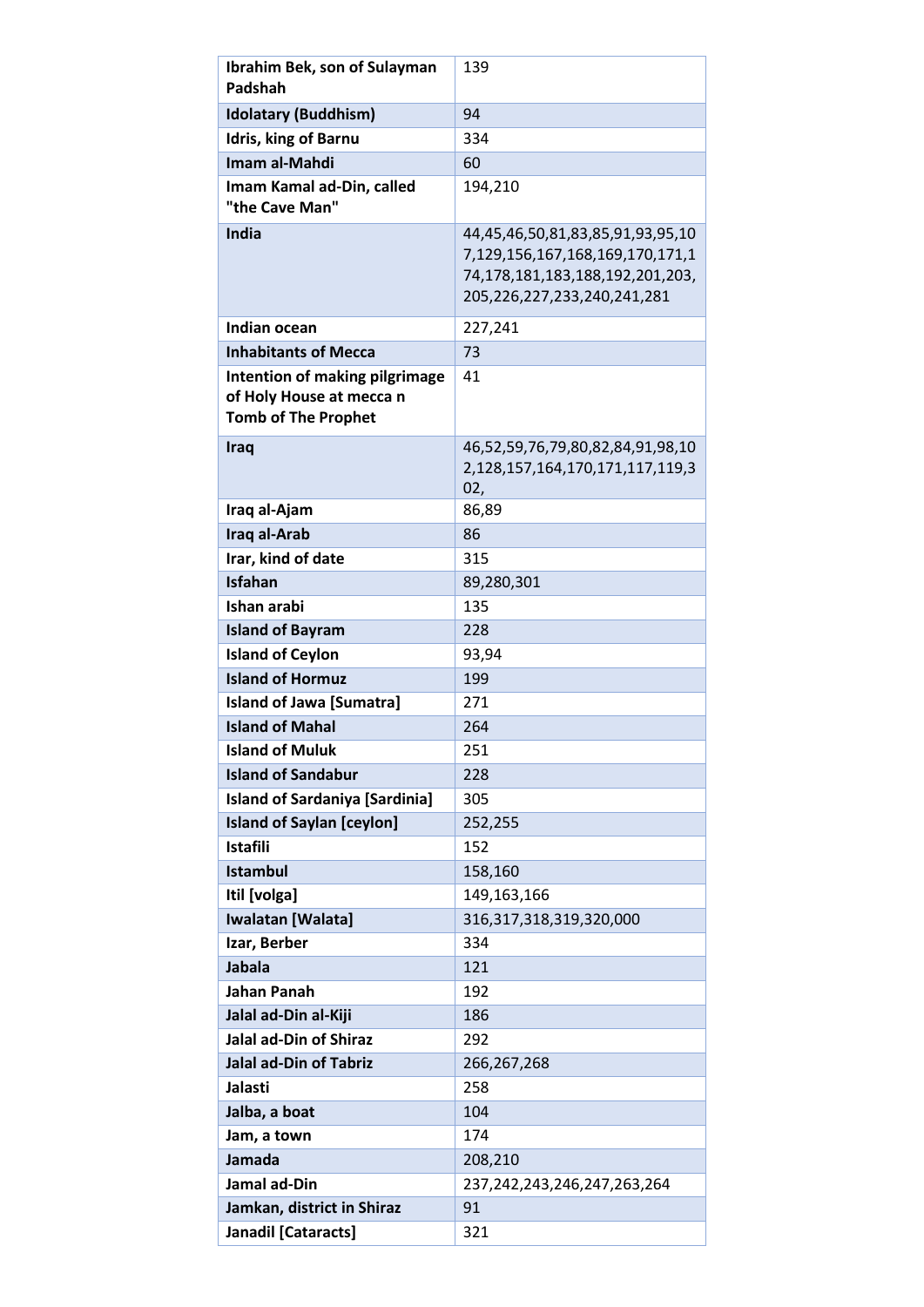| <b>Ibrahim Bek, son of Sulayman</b>                    | 139                                                                 |
|--------------------------------------------------------|---------------------------------------------------------------------|
| Padshah                                                |                                                                     |
| <b>Idolatary (Buddhism)</b>                            | 94                                                                  |
| <b>Idris, king of Barnu</b>                            | 334                                                                 |
| Imam al-Mahdi                                          | 60                                                                  |
| Imam Kamal ad-Din, called<br>"the Cave Man"            | 194,210                                                             |
| <b>India</b>                                           | 44,45,46,50,81,83,85,91,93,95,10<br>7,129,156,167,168,169,170,171,1 |
|                                                        | 74,178,181,183,188,192,201,203,<br>205,226,227,233,240,241,281      |
| Indian ocean                                           | 227,241                                                             |
| <b>Inhabitants of Mecca</b>                            | 73                                                                  |
| Intention of making pilgrimage                         | 41                                                                  |
| of Holy House at mecca n<br><b>Tomb of The Prophet</b> |                                                                     |
| Iraq                                                   | 46,52,59,76,79,80,82,84,91,98,10                                    |
|                                                        | 2,128,157,164,170,171,117,119,3<br>02,                              |
| Iraq al-Ajam                                           | 86,89                                                               |
| Iraq al-Arab                                           | 86                                                                  |
| Irar, kind of date                                     | 315                                                                 |
| <b>Isfahan</b>                                         | 89,280,301                                                          |
| Ishan arabi                                            | 135                                                                 |
| <b>Island of Bayram</b>                                | 228                                                                 |
| <b>Island of Ceylon</b>                                | 93,94                                                               |
| <b>Island of Hormuz</b>                                | 199                                                                 |
| <b>Island of Jawa [Sumatra]</b>                        | 271                                                                 |
| <b>Island of Mahal</b>                                 | 264                                                                 |
| <b>Island of Muluk</b>                                 | 251                                                                 |
| <b>Island of Sandabur</b>                              | 228                                                                 |
| <b>Island of Sardaniya [Sardinia]</b>                  | 305                                                                 |
| <b>Island of Saylan [ceylon]</b>                       | 252,255                                                             |
| <b>Istafili</b><br><b>Istambul</b>                     | 152                                                                 |
| Itil [volga]                                           | 158,160<br>149,163,166                                              |
| <b>Iwalatan</b> [Walata]                               | 316, 317, 318, 319, 320, 000                                        |
| Izar, Berber                                           | 334                                                                 |
| <b>Jabala</b>                                          | 121                                                                 |
| Jahan Panah                                            | 192                                                                 |
| Jalal ad-Din al-Kiji                                   | 186                                                                 |
| <b>Jalal ad-Din of Shiraz</b>                          | 292                                                                 |
| <b>Jalal ad-Din of Tabriz</b>                          | 266,267,268                                                         |
| Jalasti                                                | 258                                                                 |
| Jalba, a boat                                          | 104                                                                 |
| Jam, a town                                            | 174                                                                 |
| Jamada                                                 | 208,210                                                             |
| Jamal ad-Din                                           | 237, 242, 243, 246, 247, 263, 264                                   |
| Jamkan, district in Shiraz                             | 91                                                                  |
| Janadil [Cataracts]                                    | 321                                                                 |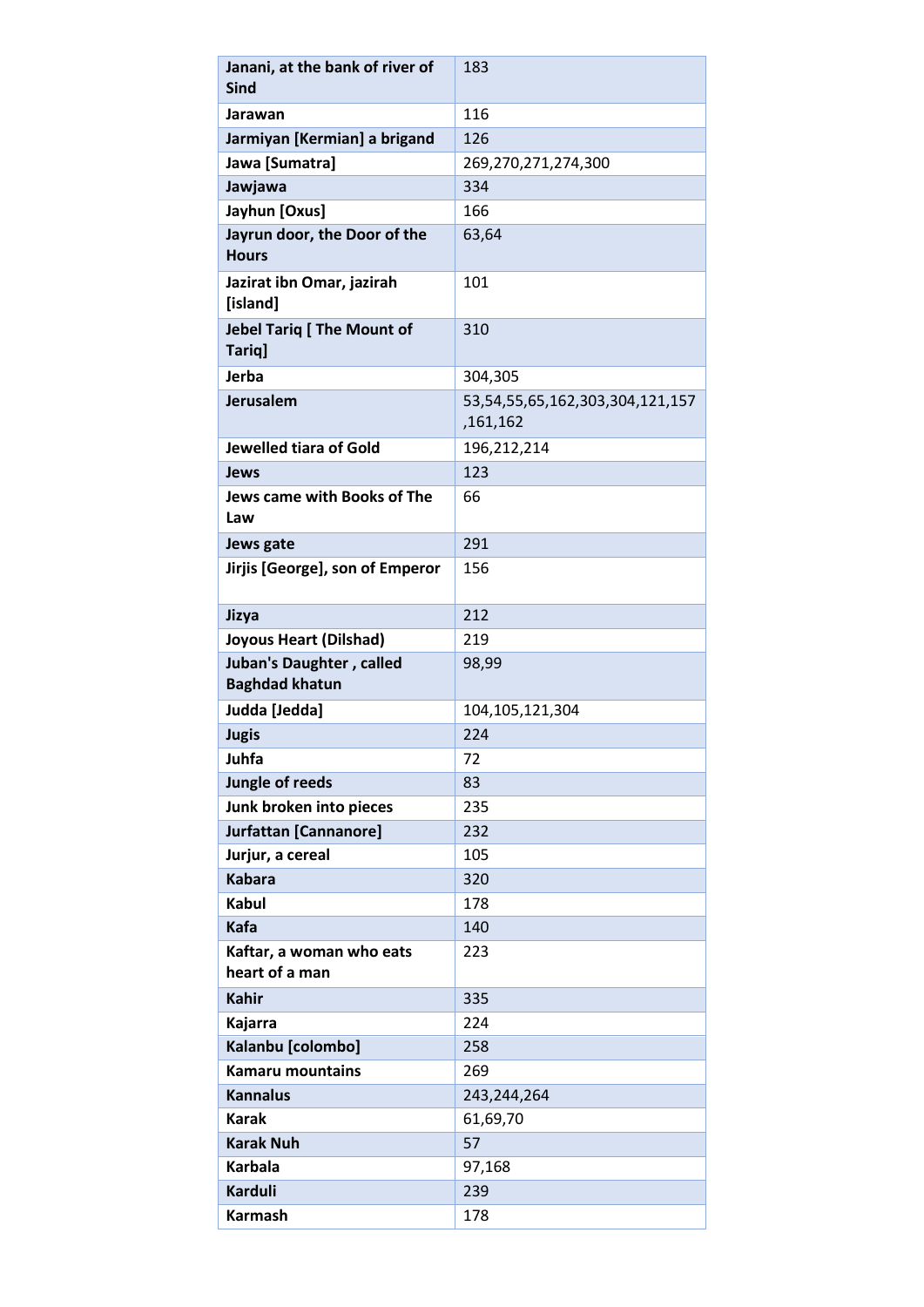| Janani, at the bank of river of<br><b>Sind</b>    | 183                                         |
|---------------------------------------------------|---------------------------------------------|
| Jarawan                                           | 116                                         |
| Jarmiyan [Kermian] a brigand                      | 126                                         |
| Jawa [Sumatra]                                    | 269,270,271,274,300                         |
| Jawjawa                                           | 334                                         |
| Jayhun [Oxus]                                     | 166                                         |
| Jayrun door, the Door of the                      | 63,64                                       |
| <b>Hours</b>                                      |                                             |
| Jazirat ibn Omar, jazirah<br>[island]             | 101                                         |
| <b>Jebel Tariq [ The Mount of</b><br>Tariq]       | 310                                         |
| Jerba                                             | 304,305                                     |
| Jerusalem                                         | 53,54,55,65,162,303,304,121,157<br>,161,162 |
| Jewelled tiara of Gold                            | 196,212,214                                 |
| Jews                                              | 123                                         |
| <b>Jews came with Books of The</b><br>Law         | 66                                          |
| Jews gate                                         | 291                                         |
| Jirjis [George], son of Emperor                   | 156                                         |
| Jizya                                             | 212                                         |
| <b>Joyous Heart (Dilshad)</b>                     | 219                                         |
| Juban's Daughter, called<br><b>Baghdad khatun</b> | 98,99                                       |
| Judda [Jedda]                                     | 104, 105, 121, 304                          |
| <b>Jugis</b>                                      | 224                                         |
| Juhfa                                             | 72                                          |
| Jungle of reeds                                   | 83                                          |
| Junk broken into pieces                           | 235                                         |
| Jurfattan [Cannanore]                             | 232                                         |
| Jurjur, a cereal                                  | 105                                         |
| <b>Kabara</b>                                     | 320                                         |
| <b>Kabul</b>                                      | 178                                         |
| Kafa                                              | 140                                         |
| Kaftar, a woman who eats<br>heart of a man        | 223                                         |
| <b>Kahir</b>                                      | 335                                         |
| Kajarra                                           | 224                                         |
| Kalanbu [colombo]                                 | 258                                         |
| <b>Kamaru mountains</b>                           | 269                                         |
| <b>Kannalus</b>                                   | 243,244,264                                 |
| <b>Karak</b>                                      | 61,69,70                                    |
| <b>Karak Nuh</b>                                  | 57                                          |
| <b>Karbala</b>                                    | 97,168                                      |
| <b>Karduli</b>                                    | 239                                         |
| Karmash                                           | 178                                         |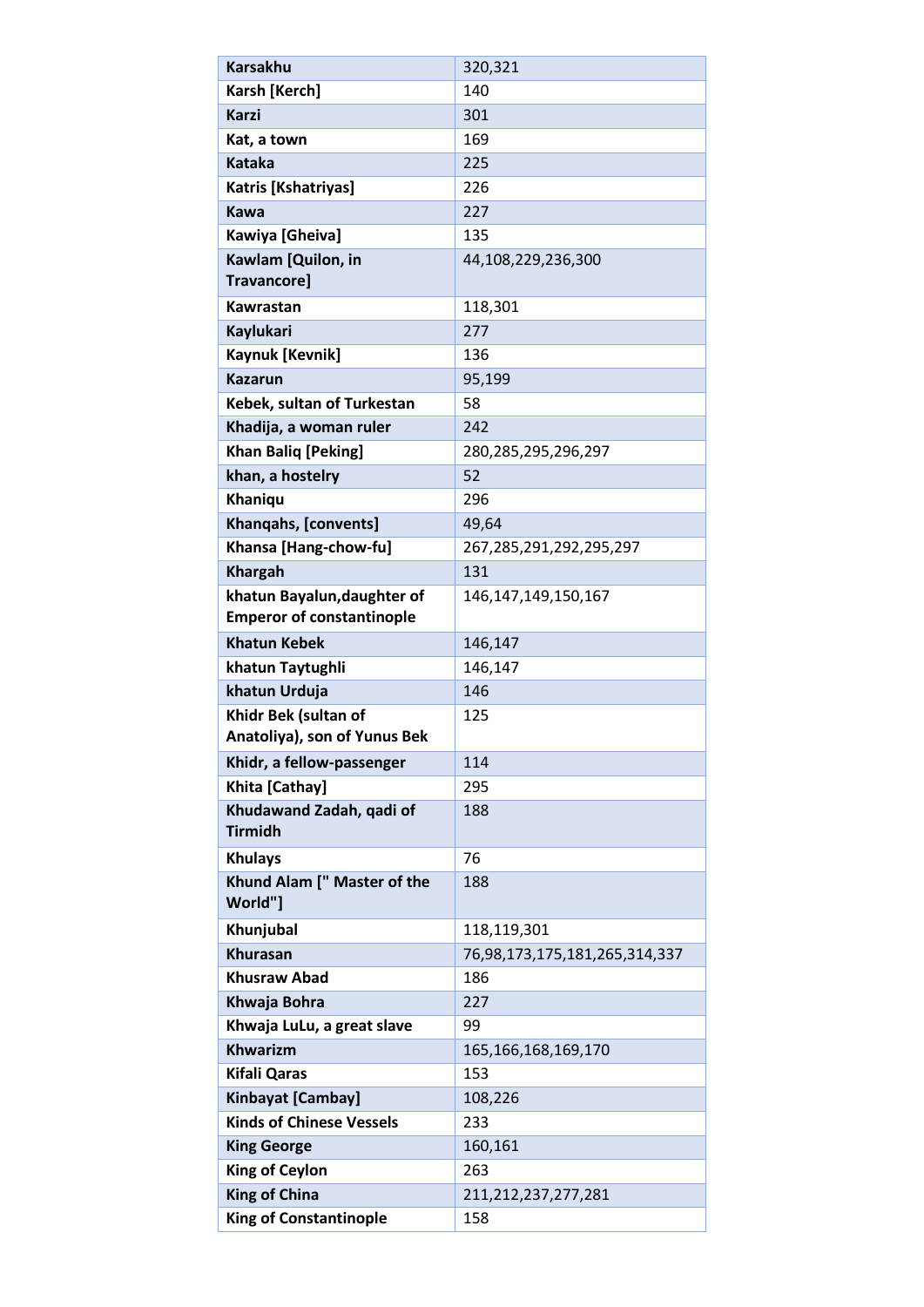| <b>Karsakhu</b>                        | 320,321                       |
|----------------------------------------|-------------------------------|
| Karsh [Kerch]                          | 140                           |
| <b>Karzi</b>                           | 301                           |
| Kat, a town                            | 169                           |
| <b>Kataka</b>                          | 225                           |
| Katris [Kshatriyas]                    | 226                           |
| <b>Kawa</b>                            | 227                           |
| Kawiya [Gheiva]                        | 135                           |
| Kawlam [Quilon, in                     | 44,108,229,236,300            |
| <b>Travancore]</b>                     |                               |
| Kawrastan                              | 118,301                       |
| Kaylukari                              | 277                           |
| Kaynuk [Kevnik]                        | 136                           |
| <b>Kazarun</b>                         | 95,199                        |
| Kebek, sultan of Turkestan             | 58                            |
| Khadija, a woman ruler                 | 242                           |
| <b>Khan Baliq [Peking]</b>             | 280,285,295,296,297           |
| khan, a hostelry                       | 52                            |
| Khaniqu                                | 296                           |
| Khanqahs, [convents]                   | 49,64                         |
| Khansa [Hang-chow-fu]                  | 267,285,291,292,295,297       |
| <b>Khargah</b>                         | 131                           |
| khatun Bayalun, daughter of            | 146, 147, 149, 150, 167       |
| <b>Emperor of constantinople</b>       |                               |
| <b>Khatun Kebek</b>                    | 146,147                       |
| khatun Taytughli                       | 146,147                       |
| khatun Urduja                          | 146                           |
| Khidr Bek (sultan of                   | 125                           |
| Anatoliya), son of Yunus Bek           |                               |
| Khidr, a fellow-passenger              | 114                           |
| Khita [Cathay]                         | 295                           |
| Khudawand Zadah, qadi of               | 188                           |
| <b>Tirmidh</b>                         |                               |
| <b>Khulays</b>                         | 76                            |
| Khund Alam [" Master of the<br>World"] | 188                           |
| Khunjubal                              | 118,119,301                   |
| <b>Khurasan</b>                        | 76,98,173,175,181,265,314,337 |
| <b>Khusraw Abad</b>                    | 186                           |
| Khwaja Bohra                           | 227                           |
| Khwaja LuLu, a great slave             | 99                            |
| <b>Khwarizm</b>                        | 165, 166, 168, 169, 170       |
| <b>Kifali Qaras</b>                    | 153                           |
| Kinbayat [Cambay]                      | 108,226                       |
| <b>Kinds of Chinese Vessels</b>        | 233                           |
| <b>King George</b>                     | 160,161                       |
| <b>King of Ceylon</b>                  | 263                           |
| <b>King of China</b>                   | 211,212,237,277,281           |
| <b>King of Constantinople</b>          | 158                           |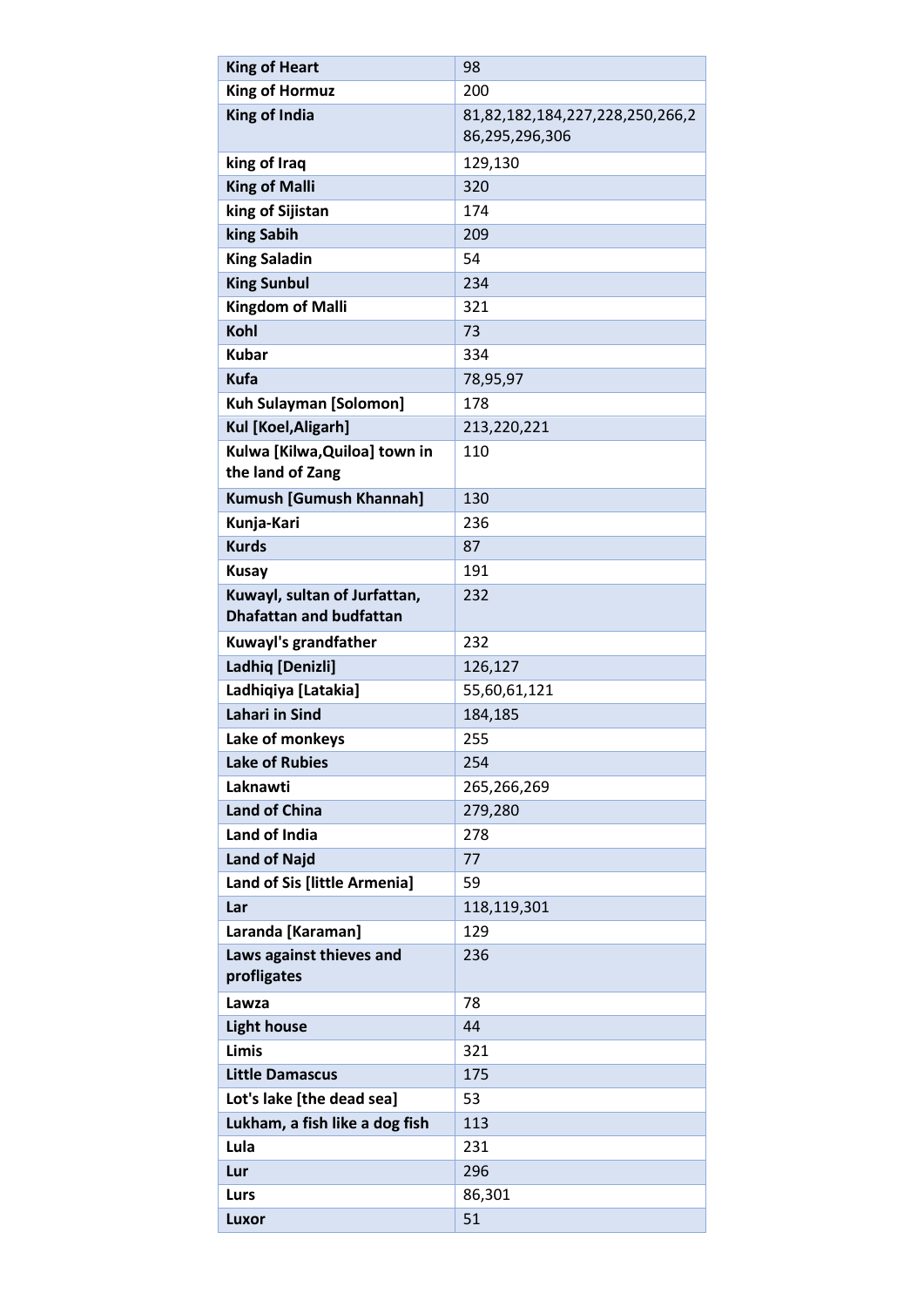| <b>King of Heart</b>                                           | 98                                                |
|----------------------------------------------------------------|---------------------------------------------------|
| <b>King of Hormuz</b>                                          | 200                                               |
| <b>King of India</b>                                           | 81,82,182,184,227,228,250,266,2<br>86,295,296,306 |
| king of Iraq                                                   | 129,130                                           |
| <b>King of Malli</b>                                           | 320                                               |
| king of Sijistan                                               | 174                                               |
| king Sabih                                                     | 209                                               |
| <b>King Saladin</b>                                            | 54                                                |
| <b>King Sunbul</b>                                             | 234                                               |
| <b>Kingdom of Malli</b>                                        | 321                                               |
| Kohl                                                           | 73                                                |
| <b>Kubar</b>                                                   | 334                                               |
| <b>Kufa</b>                                                    | 78,95,97                                          |
| Kuh Sulayman [Solomon]                                         | 178                                               |
| Kul [Koel, Aligarh]                                            | 213,220,221                                       |
| Kulwa [Kilwa, Quiloa] town in<br>the land of Zang              | 110                                               |
| Kumush [Gumush Khannah]                                        | 130                                               |
| Kunja-Kari                                                     | 236                                               |
| <b>Kurds</b>                                                   | 87                                                |
| <b>Kusay</b>                                                   | 191                                               |
| Kuwayl, sultan of Jurfattan,<br><b>Dhafattan and budfattan</b> | 232                                               |
| Kuwayl's grandfather                                           | 232                                               |
| Ladhiq [Denizli]                                               | 126,127                                           |
| Ladhiqiya [Latakia]                                            | 55,60,61,121                                      |
| <b>Lahari in Sind</b>                                          | 184,185                                           |
| Lake of monkeys                                                | 255                                               |
| <b>Lake of Rubies</b>                                          | 254                                               |
| Laknawti                                                       | 265,266,269                                       |
| <b>Land of China</b>                                           | 279,280                                           |
| Land of India                                                  | 278                                               |
| <b>Land of Najd</b>                                            | 77                                                |
| Land of Sis [little Armenia]                                   | 59                                                |
| Lar                                                            | 118,119,301                                       |
| Laranda [Karaman]                                              | 129                                               |
| Laws against thieves and<br>profligates                        | 236                                               |
| Lawza                                                          | 78                                                |
| <b>Light house</b>                                             | 44                                                |
| <b>Limis</b>                                                   | 321                                               |
| <b>Little Damascus</b>                                         | 175                                               |
| Lot's lake [the dead sea]                                      | 53                                                |
| Lukham, a fish like a dog fish                                 | 113                                               |
| Lula                                                           | 231                                               |
| Lur                                                            | 296                                               |
| Lurs                                                           | 86,301                                            |
| Luxor                                                          | 51                                                |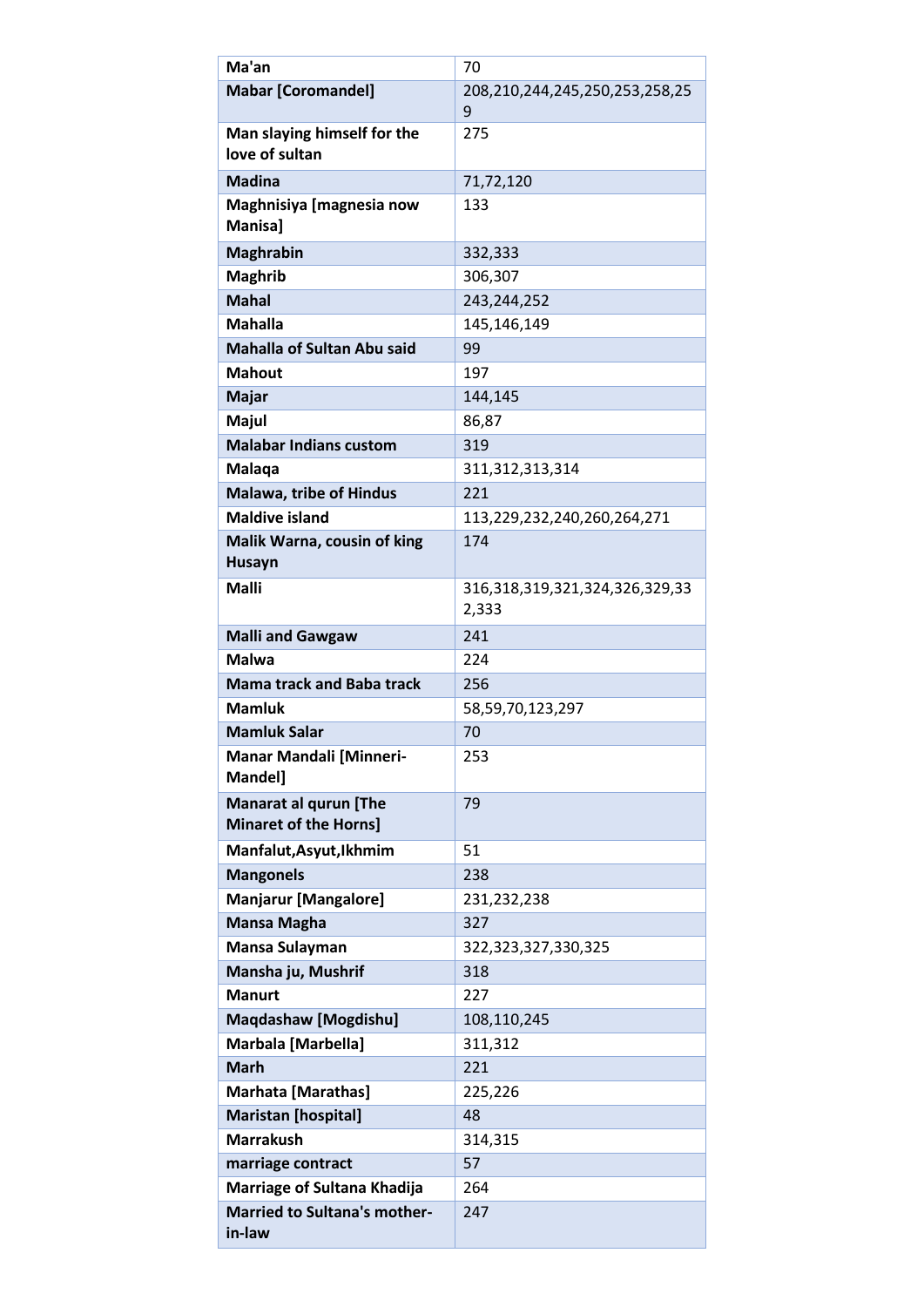| Ma'an                                                        | 70                                      |
|--------------------------------------------------------------|-----------------------------------------|
| <b>Mabar [Coromandel]</b>                                    | 208,210,244,245,250,253,258,25          |
|                                                              | 9                                       |
| Man slaying himself for the<br>love of sultan                | 275                                     |
| <b>Madina</b>                                                | 71,72,120                               |
| Maghnisiya [magnesia now<br><b>Manisal</b>                   | 133                                     |
| <b>Maghrabin</b>                                             | 332,333                                 |
| <b>Maghrib</b>                                               | 306,307                                 |
| <b>Mahal</b>                                                 | 243,244,252                             |
| <b>Mahalla</b>                                               | 145,146,149                             |
| <b>Mahalla of Sultan Abu said</b>                            | 99                                      |
| <b>Mahout</b>                                                | 197                                     |
| <b>Majar</b>                                                 | 144,145                                 |
| Majul                                                        | 86,87                                   |
| <b>Malabar Indians custom</b>                                | 319                                     |
| Malaqa                                                       | 311, 312, 313, 314                      |
| <b>Malawa, tribe of Hindus</b>                               | 221                                     |
| <b>Maldive island</b>                                        | 113,229,232,240,260,264,271             |
| Malik Warna, cousin of king                                  | 174                                     |
| <b>Husayn</b>                                                |                                         |
| Malli                                                        | 316,318,319,321,324,326,329,33<br>2,333 |
| <b>Malli and Gawgaw</b>                                      | 241                                     |
| Malwa                                                        | 224                                     |
| <b>Mama track and Baba track</b>                             | 256                                     |
| <b>Mamluk</b>                                                | 58,59,70,123,297                        |
| <b>Mamluk Salar</b>                                          | 70                                      |
| <b>Manar Mandali [Minneri-</b><br>Mandel]                    | 253                                     |
| <b>Manarat al gurun [The</b><br><b>Minaret of the Horns]</b> | 79                                      |
| Manfalut, Asyut, Ikhmim                                      | 51                                      |
| <b>Mangonels</b>                                             | 238                                     |
| <b>Manjarur [Mangalore]</b>                                  | 231,232,238                             |
| <b>Mansa Magha</b>                                           | 327                                     |
| Mansa Sulayman                                               | 322,323,327,330,325                     |
| Mansha ju, Mushrif                                           | 318                                     |
| <b>Manurt</b>                                                | 227                                     |
| <b>Maqdashaw [Mogdishu]</b>                                  | 108,110,245                             |
| Marbala [Marbella]                                           | 311,312                                 |
| <b>Marh</b>                                                  | 221                                     |
| <b>Marhata [Marathas]</b>                                    | 225,226                                 |
| <b>Maristan [hospital]</b>                                   | 48                                      |
| <b>Marrakush</b>                                             | 314,315                                 |
| marriage contract                                            | 57                                      |
| <b>Marriage of Sultana Khadija</b>                           | 264                                     |
| <b>Married to Sultana's mother-</b><br>in-law                | 247                                     |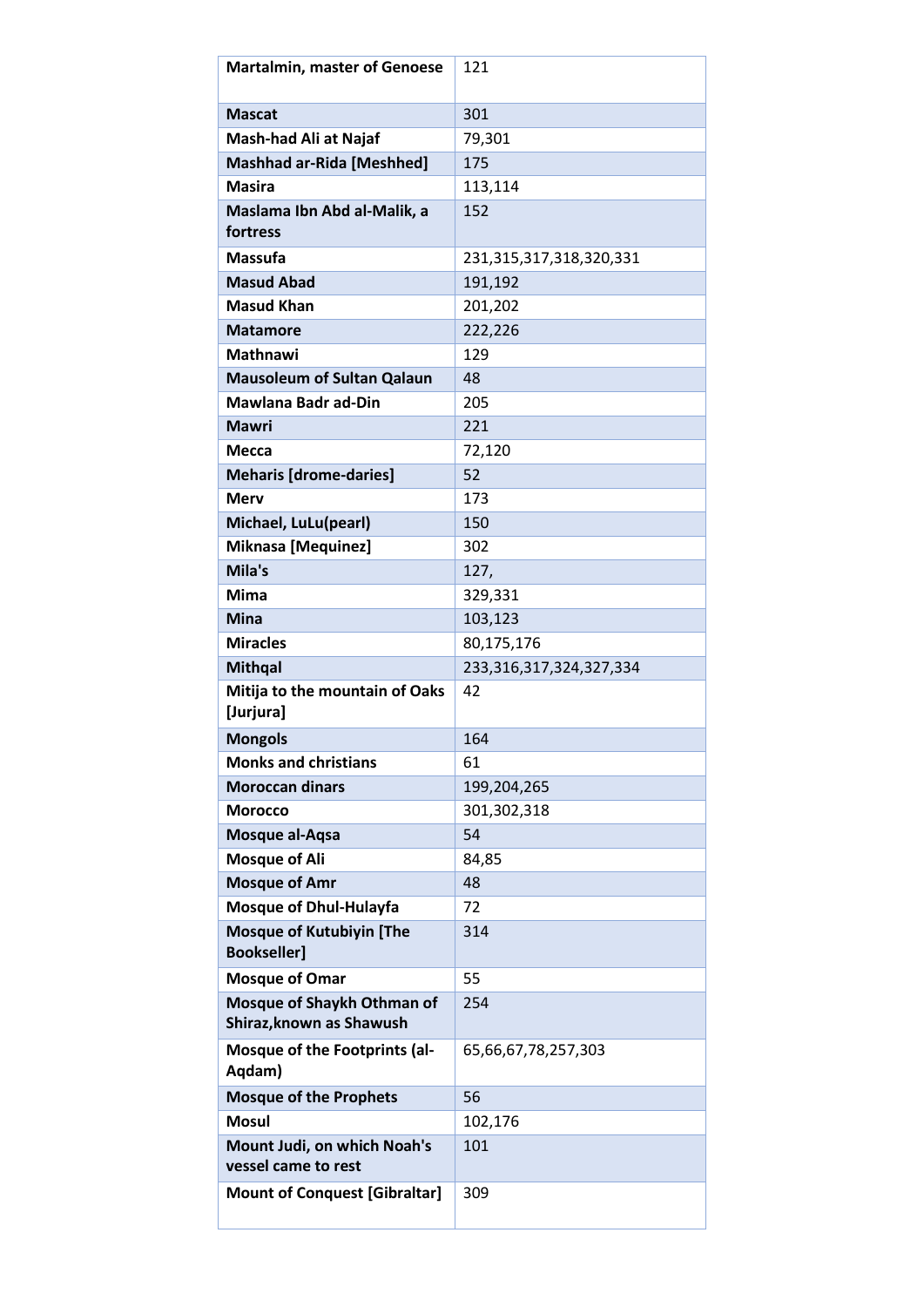| <b>Martalmin, master of Genoese</b>                    | 121                     |
|--------------------------------------------------------|-------------------------|
| <b>Mascat</b>                                          | 301                     |
| Mash-had Ali at Najaf                                  | 79,301                  |
| <b>Mashhad ar-Rida [Meshhed]</b>                       | 175                     |
| <b>Masira</b>                                          | 113,114                 |
| Maslama Ibn Abd al-Malik, a<br>fortress                | 152                     |
| <b>Massufa</b>                                         | 231,315,317,318,320,331 |
| <b>Masud Abad</b>                                      | 191,192                 |
| <b>Masud Khan</b>                                      | 201,202                 |
| <b>Matamore</b>                                        | 222,226                 |
| <b>Mathnawi</b>                                        | 129                     |
| <b>Mausoleum of Sultan Qalaun</b>                      | 48                      |
| <b>Mawlana Badr ad-Din</b>                             | 205                     |
| <b>Mawri</b>                                           | 221                     |
| Mecca                                                  | 72,120                  |
| <b>Meharis [drome-daries]</b>                          | 52                      |
| <b>Merv</b>                                            | 173                     |
| Michael, LuLu(pearl)                                   | 150                     |
| <b>Miknasa [Mequinez]</b>                              | 302                     |
| Mila's                                                 | 127,                    |
| <b>Mima</b>                                            | 329,331                 |
| <b>Mina</b>                                            | 103,123                 |
| <b>Miracles</b>                                        | 80,175,176              |
| <b>Mithqal</b>                                         | 233,316,317,324,327,334 |
| Mitija to the mountain of Oaks<br>[Jurjura]            | 42                      |
| <b>Mongols</b>                                         | 164                     |
| <b>Monks and christians</b>                            | 61                      |
| <b>Moroccan dinars</b>                                 | 199,204,265             |
| <b>Morocco</b>                                         | 301,302,318             |
| Mosque al-Aqsa                                         | 54                      |
| <b>Mosque of Ali</b>                                   | 84,85                   |
| <b>Mosque of Amr</b>                                   | 48                      |
| <b>Mosque of Dhul-Hulayfa</b>                          | 72                      |
| <b>Mosque of Kutubiyin [The</b><br><b>Bookseller]</b>  | 314                     |
| <b>Mosque of Omar</b>                                  | 55                      |
| Mosque of Shaykh Othman of<br>Shiraz, known as Shawush | 254                     |
| Mosque of the Footprints (al-<br>Aqdam)                | 65,66,67,78,257,303     |
| <b>Mosque of the Prophets</b>                          | 56                      |
| <b>Mosul</b>                                           | 102,176                 |
| Mount Judi, on which Noah's<br>vessel came to rest     | 101                     |
| <b>Mount of Conquest [Gibraltar]</b>                   | 309                     |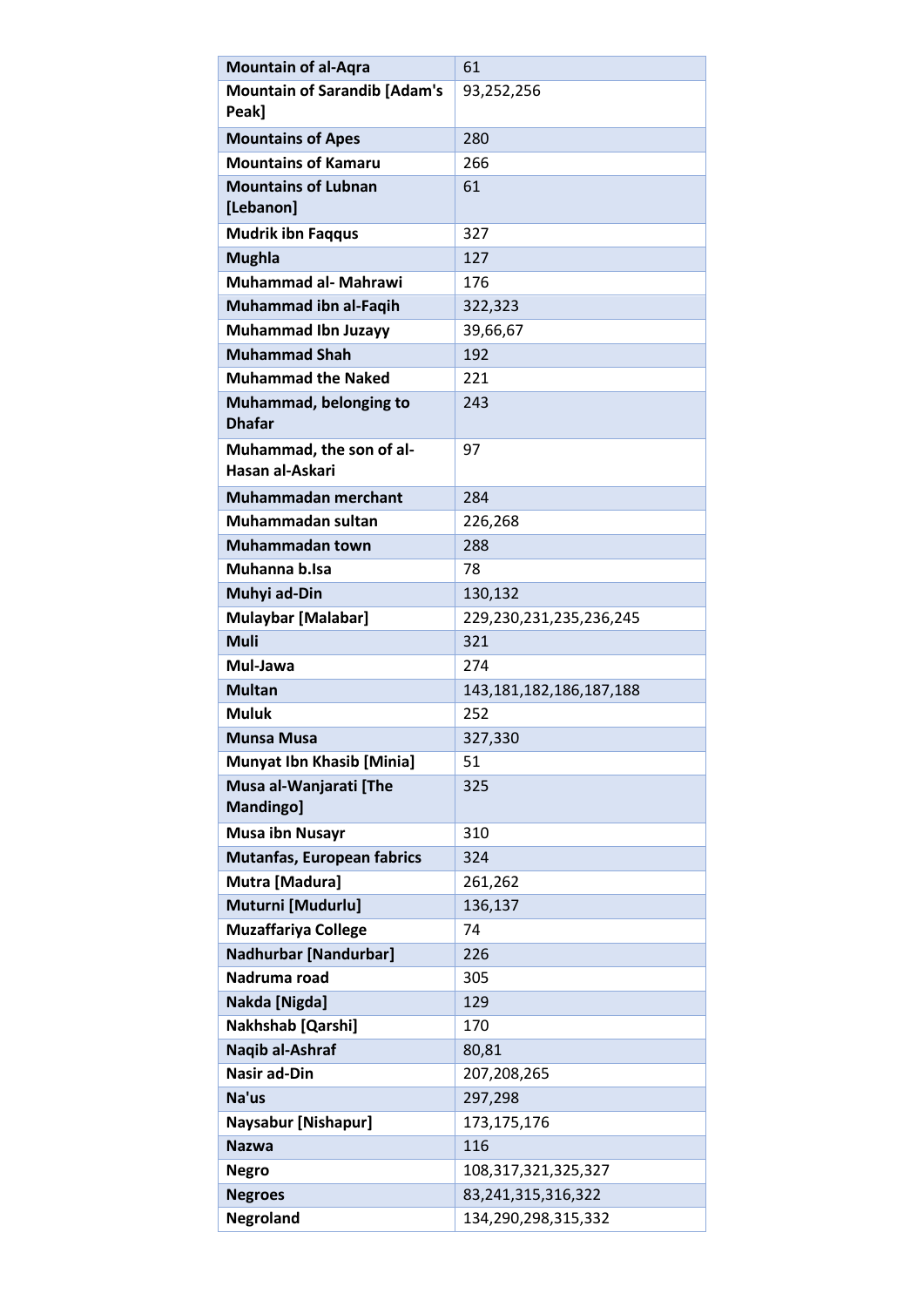| <b>Mountain of al-Aqra</b>                        | 61                                  |
|---------------------------------------------------|-------------------------------------|
| <b>Mountain of Sarandib [Adam's</b>               | 93,252,256                          |
| Peak]                                             |                                     |
| <b>Mountains of Apes</b>                          | 280                                 |
| <b>Mountains of Kamaru</b>                        | 266                                 |
| <b>Mountains of Lubnan</b>                        | 61                                  |
| [Lebanon]                                         |                                     |
| <b>Mudrik ibn Faqqus</b>                          | 327                                 |
| <b>Mughla</b>                                     | 127                                 |
| <b>Muhammad al- Mahrawi</b>                       | 176                                 |
| Muhammad ibn al-Faqih                             | 322,323                             |
| <b>Muhammad Ibn Juzayy</b>                        | 39,66,67                            |
| <b>Muhammad Shah</b><br><b>Muhammad the Naked</b> | 192<br>221                          |
|                                                   | 243                                 |
| Muhammad, belonging to<br><b>Dhafar</b>           |                                     |
| Muhammad, the son of al-<br>Hasan al-Askari       | 97                                  |
|                                                   |                                     |
| <b>Muhammadan merchant</b>                        | 284                                 |
| Muhammadan sultan                                 | 226,268                             |
| Muhammadan town                                   | 288                                 |
| Muhanna b.Isa                                     | 78                                  |
| Muhyi ad-Din                                      | 130,132                             |
| <b>Mulaybar [Malabar]</b><br><b>Muli</b>          | 229,230,231,235,236,245<br>321      |
|                                                   |                                     |
| Mul-Jawa<br><b>Multan</b>                         | 274                                 |
| <b>Muluk</b>                                      | 143, 181, 182, 186, 187, 188<br>252 |
| <b>Munsa Musa</b>                                 | 327,330                             |
| <b>Munyat Ibn Khasib [Minia]</b>                  | 51                                  |
| Musa al-Wanjarati [The                            | 325                                 |
| Mandingo]                                         |                                     |
| <b>Musa ibn Nusayr</b>                            | 310                                 |
| <b>Mutanfas, European fabrics</b>                 | 324                                 |
| Mutra [Madura]                                    | 261,262                             |
| Muturni [Mudurlu]                                 | 136,137                             |
| <b>Muzaffariya College</b>                        | 74                                  |
| <b>Nadhurbar [Nandurbar]</b>                      | 226                                 |
| Nadruma road                                      | 305                                 |
| Nakda [Nigda]                                     | 129                                 |
| Nakhshab [Qarshi]                                 | 170                                 |
| Naqib al-Ashraf                                   | 80,81                               |
| <b>Nasir ad-Din</b>                               | 207,208,265                         |
| Na'us                                             | 297,298                             |
| <b>Naysabur [Nishapur]</b>                        | 173,175,176                         |
| <b>Nazwa</b>                                      | 116                                 |
| <b>Negro</b>                                      | 108, 317, 321, 325, 327             |
| <b>Negroes</b>                                    | 83,241,315,316,322                  |
| <b>Negroland</b>                                  | 134,290,298,315,332                 |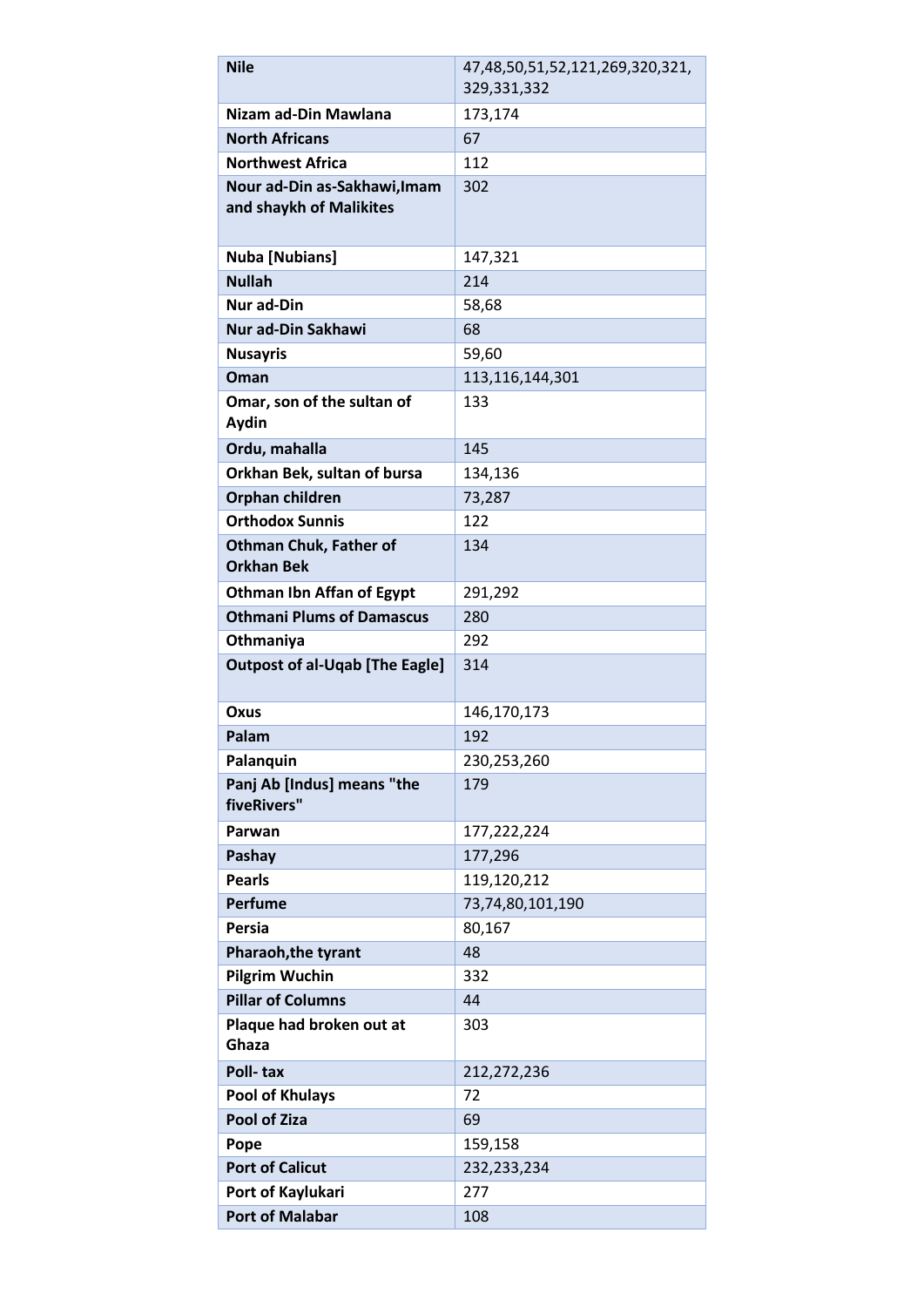| <b>Nile</b>                               | 47,48,50,51,52,121,269,320,321, |
|-------------------------------------------|---------------------------------|
|                                           | 329,331,332                     |
| Nizam ad-Din Mawlana                      | 173,174                         |
| <b>North Africans</b>                     | 67                              |
| <b>Northwest Africa</b>                   | 112                             |
| Nour ad-Din as-Sakhawi, Imam              | 302                             |
| and shaykh of Malikites                   |                                 |
|                                           |                                 |
| <b>Nuba [Nubians]</b>                     | 147,321                         |
| <b>Nullah</b>                             | 214                             |
| <b>Nur ad-Din</b>                         | 58,68                           |
| Nur ad-Din Sakhawi                        | 68                              |
| <b>Nusayris</b>                           | 59,60                           |
| Oman                                      | 113,116,144,301                 |
| Omar, son of the sultan of                | 133                             |
| Aydin                                     |                                 |
| Ordu, mahalla                             | 145                             |
| Orkhan Bek, sultan of bursa               | 134,136                         |
| Orphan children<br><b>Orthodox Sunnis</b> | 73,287<br>122                   |
| <b>Othman Chuk, Father of</b>             | 134                             |
| <b>Orkhan Bek</b>                         |                                 |
| <b>Othman Ibn Affan of Egypt</b>          | 291,292                         |
| <b>Othmani Plums of Damascus</b>          | 280                             |
| Othmaniya                                 | 292                             |
| <b>Outpost of al-Uqab [The Eagle]</b>     | 314                             |
|                                           |                                 |
| Oxus                                      | 146,170,173                     |
| Palam                                     | 192                             |
| Palanquin                                 | 230,253,260                     |
| Panj Ab [Indus] means "the                | 179                             |
| fiveRivers"                               |                                 |
| Parwan                                    | 177,222,224                     |
| Pashay                                    | 177,296                         |
| <b>Pearls</b>                             | 119,120,212                     |
| <b>Perfume</b>                            | 73,74,80,101,190                |
| Persia                                    | 80,167                          |
| Pharaoh, the tyrant                       | 48                              |
| <b>Pilgrim Wuchin</b>                     | 332                             |
| <b>Pillar of Columns</b>                  | 44                              |
| Plaque had broken out at                  | 303                             |
| Ghaza                                     |                                 |
| Poll-tax                                  | 212,272,236                     |
| <b>Pool of Khulays</b>                    | 72                              |
| <b>Pool of Ziza</b>                       | 69                              |
| Pope                                      | 159,158                         |
| <b>Port of Calicut</b>                    | 232,233,234                     |
| Port of Kaylukari                         | 277                             |
| <b>Port of Malabar</b>                    | 108                             |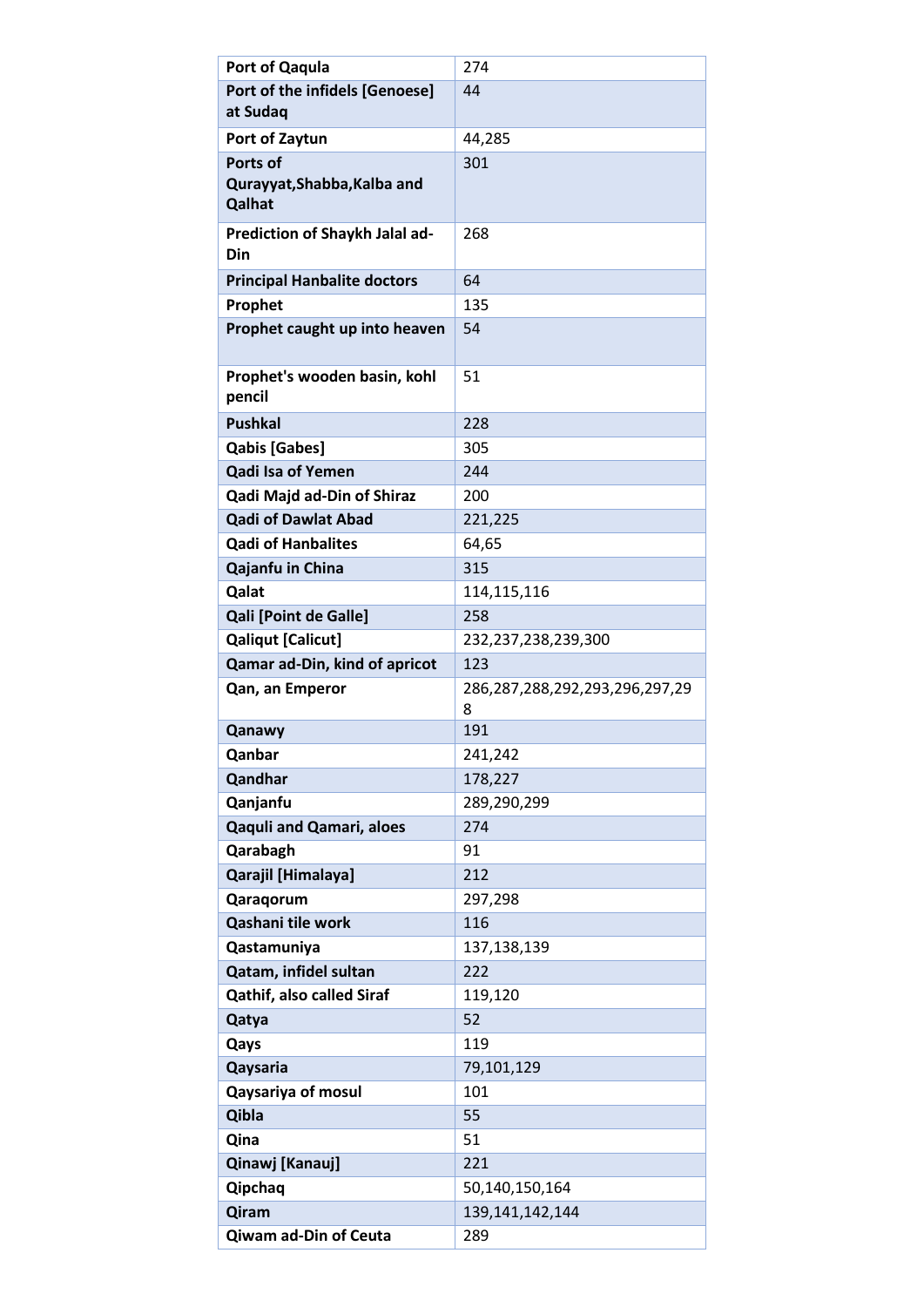| Port of Qaqula                     | 274                            |
|------------------------------------|--------------------------------|
| Port of the infidels [Genoese]     | 44                             |
| at Sudaq                           |                                |
| Port of Zaytun                     | 44,285                         |
| Ports of                           | 301                            |
| Qurayyat, Shabba, Kalba and        |                                |
| Qalhat                             |                                |
| Prediction of Shaykh Jalal ad-     | 268                            |
| Din                                |                                |
| <b>Principal Hanbalite doctors</b> | 64                             |
| Prophet                            | 135                            |
| Prophet caught up into heaven      | 54                             |
|                                    |                                |
| Prophet's wooden basin, kohl       | 51                             |
| pencil                             |                                |
| <b>Pushkal</b>                     | 228                            |
| <b>Qabis [Gabes]</b>               | 305                            |
| <b>Qadi Isa of Yemen</b>           | 244                            |
| <b>Qadi Majd ad-Din of Shiraz</b>  | 200                            |
| <b>Qadi of Dawlat Abad</b>         | 221,225                        |
| <b>Qadi of Hanbalites</b>          | 64,65                          |
| Qajanfu in China                   | 315                            |
| Qalat                              | 114, 115, 116                  |
| <b>Qali [Point de Galle]</b>       | 258                            |
| <b>Qaliqut [Calicut]</b>           | 232,237,238,239,300            |
| Qamar ad-Din, kind of apricot      | 123                            |
|                                    |                                |
| Qan, an Emperor                    | 286,287,288,292,293,296,297,29 |
|                                    | 8                              |
| Qanawy                             | 191                            |
| Qanbar                             | 241,242                        |
| Qandhar                            | 178,227                        |
| Qanjanfu                           | 289,290,299                    |
| <b>Qaquli and Qamari, aloes</b>    | 274                            |
| Qarabagh                           | 91                             |
| Qarajil [Himalaya]                 | 212                            |
| Qaraqorum                          | 297,298                        |
| Qashani tile work                  | 116                            |
| Qastamuniya                        | 137,138,139                    |
| Qatam, infidel sultan              | 222                            |
| <b>Qathif, also called Siraf</b>   | 119,120                        |
| Qatya                              | 52                             |
| Qays                               | 119                            |
| Qaysaria                           | 79,101,129                     |
| <b>Qaysariya of mosul</b>          | 101                            |
| Qibla                              | 55                             |
| Qina                               | 51                             |
| Qinawj [Kanauj]                    | 221                            |
| Qipchaq                            | 50,140,150,164                 |
| Qiram<br>Qiwam ad-Din of Ceuta     | 139, 141, 142, 144<br>289      |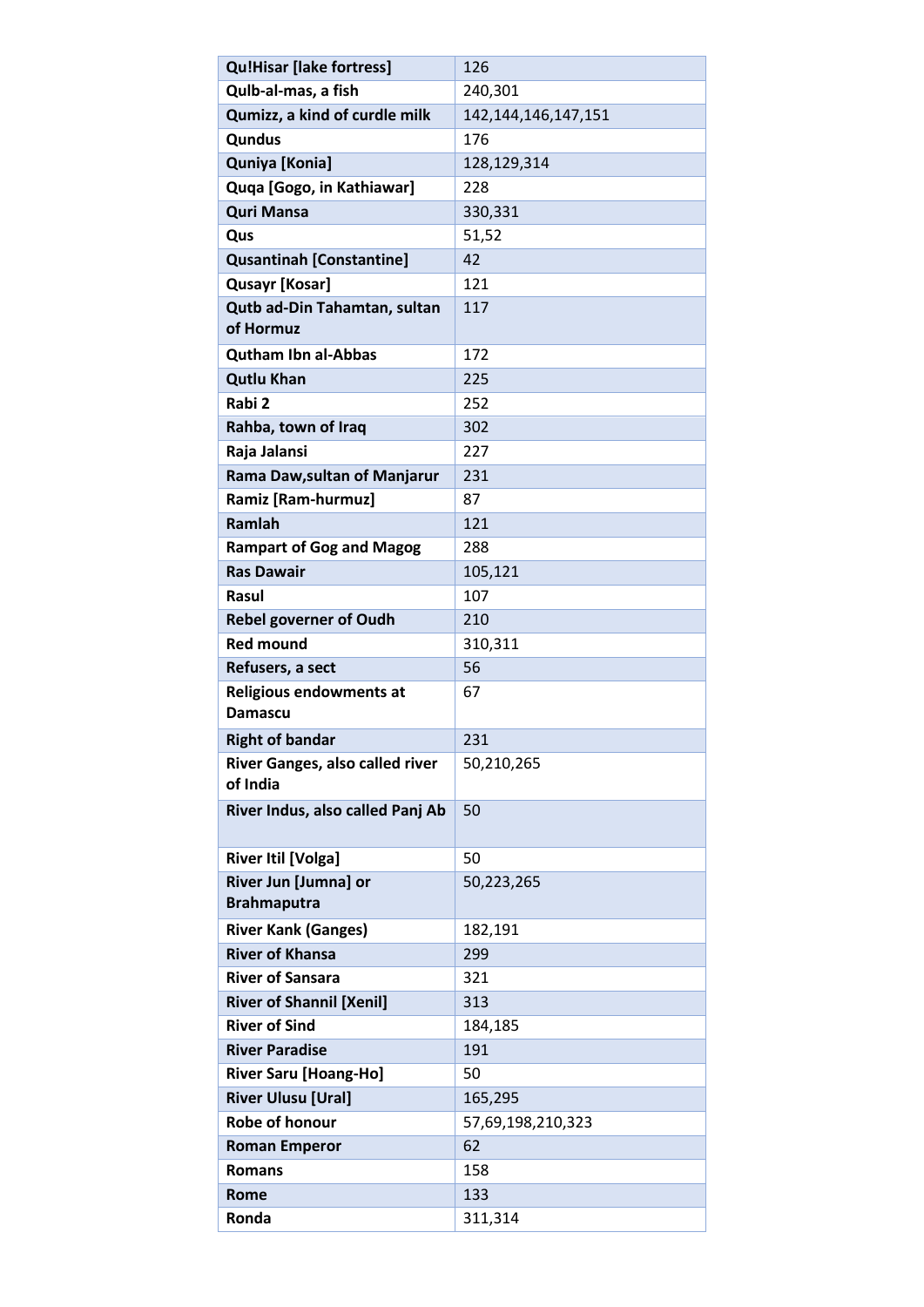| <b>Qu!Hisar [lake fortress]</b>             | 126                     |
|---------------------------------------------|-------------------------|
| Qulb-al-mas, a fish                         | 240,301                 |
| Qumizz, a kind of curdle milk               | 142, 144, 146, 147, 151 |
| Qundus                                      | 176                     |
| Quniya [Konia]                              | 128,129,314             |
| Quqa [Gogo, in Kathiawar]                   | 228                     |
| <b>Quri Mansa</b>                           | 330,331                 |
| Qus                                         | 51,52                   |
| <b>Qusantinah [Constantine]</b>             | 42                      |
| <b>Qusayr [Kosar]</b>                       | 121                     |
| Qutb ad-Din Tahamtan, sultan<br>of Hormuz   | 117                     |
| <b>Qutham Ibn al-Abbas</b>                  | 172                     |
| <b>Qutlu Khan</b>                           | 225                     |
| Rabi 2                                      | 252                     |
| Rahba, town of Iraq                         | 302                     |
| Raja Jalansi                                | 227                     |
| Rama Daw, sultan of Manjarur                | 231                     |
| Ramiz [Ram-hurmuz]                          | 87                      |
| Ramlah                                      | 121                     |
| <b>Rampart of Gog and Magog</b>             | 288                     |
| <b>Ras Dawair</b>                           | 105,121                 |
| <b>Rasul</b>                                | 107                     |
| <b>Rebel governer of Oudh</b>               | 210                     |
| <b>Red mound</b>                            | 310,311                 |
| Refusers, a sect                            | 56                      |
| Religious endowments at<br>Damascu          | 67                      |
| <b>Right of bandar</b>                      | 231                     |
| River Ganges, also called river<br>of India | 50,210,265              |
| River Indus, also called Panj Ab            | 50                      |
| <b>River Itil [Volga]</b>                   | 50                      |
| River Jun [Jumna] or<br><b>Brahmaputra</b>  | 50,223,265              |
| <b>River Kank (Ganges)</b>                  | 182,191                 |
| <b>River of Khansa</b>                      | 299                     |
| <b>River of Sansara</b>                     | 321                     |
| <b>River of Shannil [Xenil]</b>             | 313                     |
| <b>River of Sind</b>                        | 184,185                 |
| <b>River Paradise</b>                       | 191                     |
| <b>River Saru [Hoang-Ho]</b>                | 50                      |
| <b>River Ulusu [Ural]</b>                   | 165,295                 |
| Robe of honour                              | 57,69,198,210,323       |
| <b>Roman Emperor</b>                        | 62                      |
| <b>Romans</b>                               | 158                     |
| <b>Rome</b>                                 | 133                     |
| Ronda                                       | 311,314                 |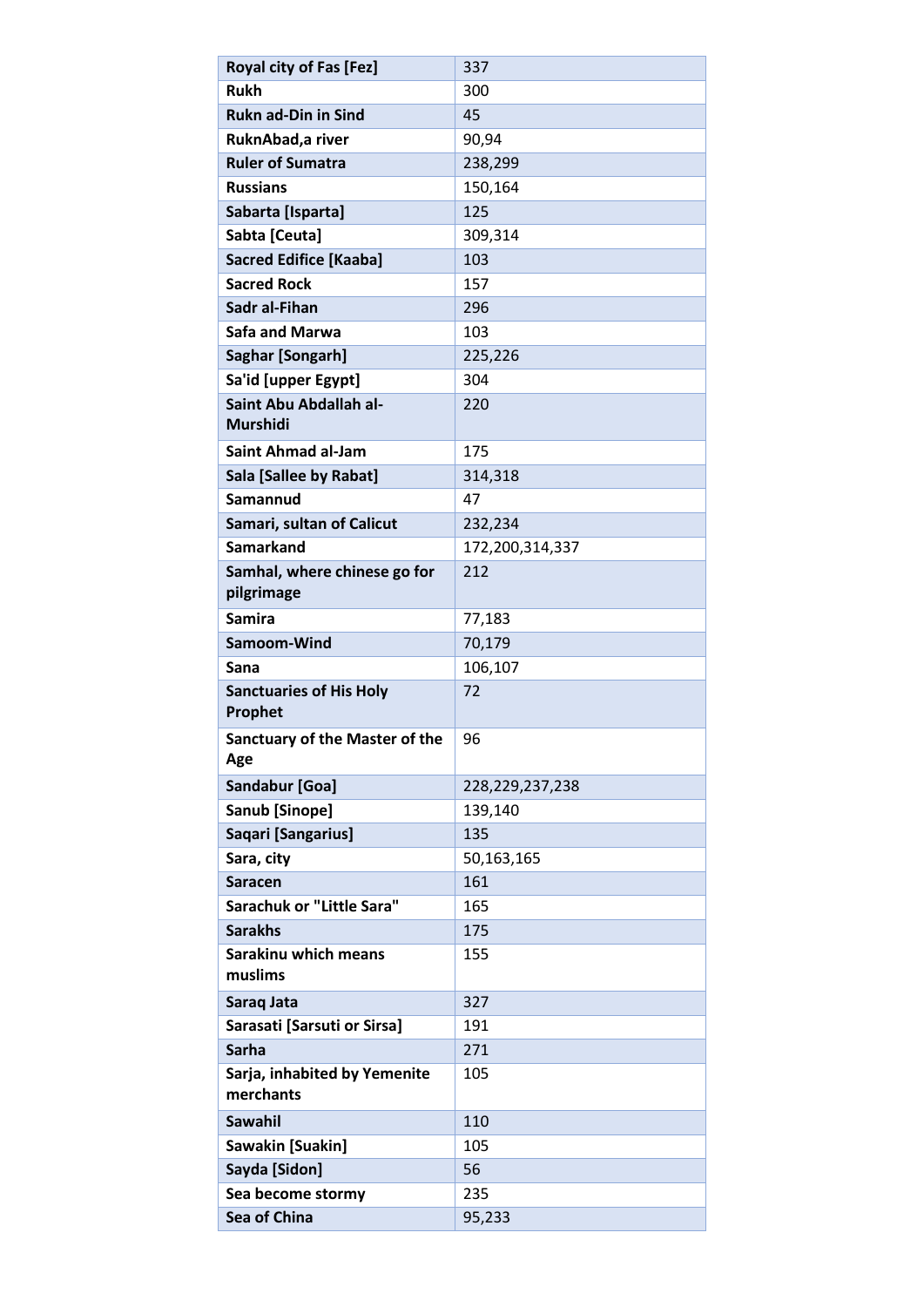| <b>Royal city of Fas [Fez]</b>        | 337             |
|---------------------------------------|-----------------|
| <b>Rukh</b>                           | 300             |
| <b>Rukn ad-Din in Sind</b>            | 45              |
| RuknAbad, a river                     | 90,94           |
| <b>Ruler of Sumatra</b>               | 238,299         |
| <b>Russians</b>                       | 150,164         |
| Sabarta [Isparta]                     | 125             |
| Sabta [Ceuta]                         | 309,314         |
| <b>Sacred Edifice [Kaaba]</b>         | 103             |
| <b>Sacred Rock</b>                    | 157             |
| Sadr al-Fihan                         | 296             |
| <b>Safa and Marwa</b>                 | 103             |
| Saghar [Songarh]                      | 225,226         |
| Sa'id [upper Egypt]                   | 304             |
| Saint Abu Abdallah al-                | 220             |
| <b>Murshidi</b>                       |                 |
| <b>Saint Ahmad al-Jam</b>             | 175             |
| Sala [Sallee by Rabat]                | 314,318         |
| Samannud                              | 47              |
| Samari, sultan of Calicut             | 232,234         |
| <b>Samarkand</b>                      | 172,200,314,337 |
| Samhal, where chinese go for          | 212             |
| pilgrimage                            |                 |
| <b>Samira</b>                         | 77,183          |
| Samoom-Wind                           | 70,179          |
| Sana                                  | 106,107         |
| <b>Sanctuaries of His Holy</b>        | 72              |
| Prophet                               |                 |
| <b>Sanctuary of the Master of the</b> | 96              |
| Age                                   |                 |
| Sandabur [Goa]                        | 228,229,237,238 |
| Sanub [Sinope]                        | 139,140         |
| Saqari [Sangarius]                    | 135             |
| Sara, city                            | 50,163,165      |
| <b>Saracen</b>                        | 161             |
| <b>Sarachuk or "Little Sara"</b>      | 165             |
| <b>Sarakhs</b>                        | 175             |
| <b>Sarakinu which means</b>           | 155             |
| muslims                               |                 |
| Saraq Jata                            | 327             |
| Sarasati [Sarsuti or Sirsa]           | 191             |
| <b>Sarha</b>                          | 271             |
| Sarja, inhabited by Yemenite          | 105             |
| merchants                             |                 |
| Sawahil                               | 110             |
| Sawakin [Suakin]                      | 105             |
| Sayda [Sidon]                         | 56              |
| Sea become stormy                     | 235             |
| Sea of China                          | 95,233          |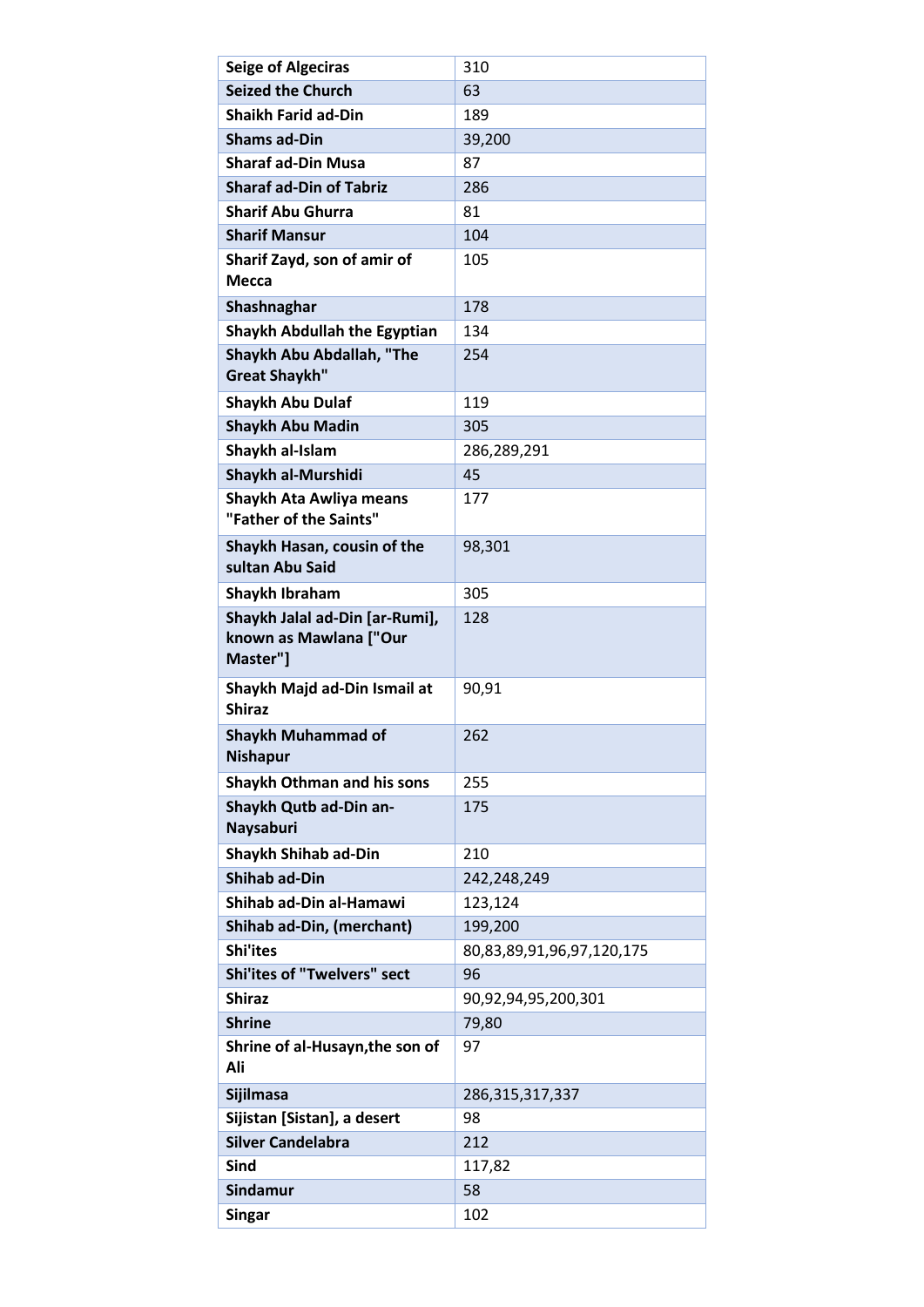| <b>Seige of Algeciras</b>                                            | 310                       |
|----------------------------------------------------------------------|---------------------------|
| <b>Seized the Church</b>                                             | 63                        |
| <b>Shaikh Farid ad-Din</b>                                           | 189                       |
| <b>Shams ad-Din</b>                                                  | 39,200                    |
| <b>Sharaf ad-Din Musa</b>                                            | 87                        |
| <b>Sharaf ad-Din of Tabriz</b>                                       | 286                       |
| <b>Sharif Abu Ghurra</b>                                             | 81                        |
| <b>Sharif Mansur</b>                                                 | 104                       |
| Sharif Zayd, son of amir of<br>Mecca                                 | 105                       |
| Shashnaghar                                                          | 178                       |
| <b>Shaykh Abdullah the Egyptian</b>                                  | 134                       |
| Shaykh Abu Abdallah, "The<br><b>Great Shaykh"</b>                    | 254                       |
| <b>Shaykh Abu Dulaf</b>                                              | 119                       |
| <b>Shaykh Abu Madin</b>                                              | 305                       |
| Shaykh al-Islam                                                      | 286,289,291               |
| Shaykh al-Murshidi                                                   | 45                        |
| Shaykh Ata Awliya means<br>"Father of the Saints"                    | 177                       |
| Shaykh Hasan, cousin of the<br>sultan Abu Said                       | 98,301                    |
| Shaykh Ibraham                                                       | 305                       |
| Shaykh Jalal ad-Din [ar-Rumi],<br>known as Mawlana ["Our<br>Master"] | 128                       |
| Shaykh Majd ad-Din Ismail at<br><b>Shiraz</b>                        | 90,91                     |
| <b>Shaykh Muhammad of</b><br><b>Nishapur</b>                         | 262                       |
| Shaykh Othman and his sons                                           | 255                       |
| Shaykh Qutb ad-Din an-<br>Naysaburi                                  | 175                       |
| <b>Shaykh Shihab ad-Din</b>                                          | 210                       |
| <b>Shihab ad-Din</b>                                                 | 242,248,249               |
| Shihab ad-Din al-Hamawi                                              | 123,124                   |
| Shihab ad-Din, (merchant)                                            | 199,200                   |
| <b>Shi'ites</b>                                                      | 80,83,89,91,96,97,120,175 |
| <b>Shi'ites of "Twelvers" sect</b>                                   | 96                        |
| <b>Shiraz</b>                                                        | 90,92,94,95,200,301       |
| <b>Shrine</b>                                                        | 79,80                     |
| Shrine of al-Husayn, the son of<br>Ali                               | 97                        |
| Sijilmasa                                                            | 286, 315, 317, 337        |
| Sijistan [Sistan], a desert                                          | 98                        |
| <b>Silver Candelabra</b>                                             | 212                       |
| <b>Sind</b>                                                          | 117,82                    |
| Sindamur                                                             | 58                        |
| <b>Singar</b>                                                        | 102                       |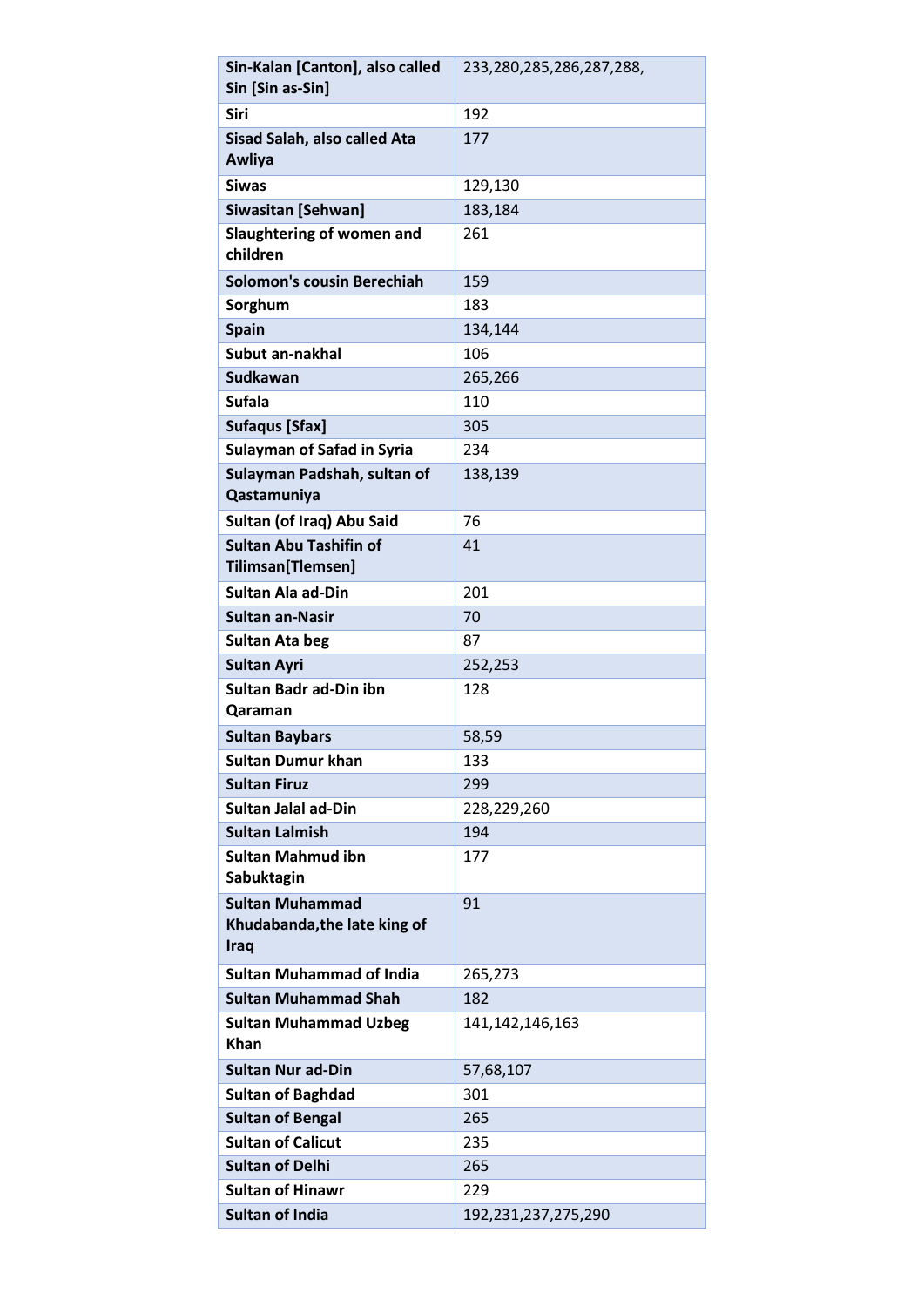| Sin-Kalan [Canton], also called                                       | 233,280,285,286,287,288, |
|-----------------------------------------------------------------------|--------------------------|
| Sin [Sin as-Sin]                                                      |                          |
| <b>Siri</b>                                                           | 192                      |
| Sisad Salah, also called Ata<br>Awliya                                | 177                      |
| <b>Siwas</b>                                                          | 129,130                  |
| <b>Siwasitan [Sehwan]</b>                                             | 183,184                  |
| Slaughtering of women and<br>children                                 | 261                      |
| <b>Solomon's cousin Berechiah</b>                                     | 159                      |
| Sorghum                                                               | 183                      |
| <b>Spain</b>                                                          | 134,144                  |
| Subut an-nakhal                                                       | 106                      |
| <b>Sudkawan</b>                                                       | 265,266                  |
| <b>Sufala</b>                                                         | 110                      |
| <b>Sufaqus [Sfax]</b>                                                 | 305                      |
| <b>Sulayman of Safad in Syria</b>                                     | 234                      |
| Sulayman Padshah, sultan of<br>Qastamuniya                            | 138,139                  |
| Sultan (of Iraq) Abu Said                                             | 76                       |
| <b>Sultan Abu Tashifin of</b><br>Tilimsan[Tlemsen]                    | 41                       |
| <b>Sultan Ala ad-Din</b>                                              | 201                      |
| <b>Sultan an-Nasir</b>                                                | 70                       |
| <b>Sultan Ata beg</b>                                                 | 87                       |
| <b>Sultan Ayri</b>                                                    | 252,253                  |
| <b>Sultan Badr ad-Din ibn</b><br>Qaraman                              | 128                      |
| <b>Sultan Baybars</b>                                                 | 58,59                    |
| Sultan Dumur khan                                                     | 133                      |
| <b>Sultan Firuz</b>                                                   | 299                      |
| <b>Sultan Jalal ad-Din</b>                                            | 228,229,260              |
| <b>Sultan Lalmish</b>                                                 | 194                      |
| <b>Sultan Mahmud ibn</b><br>Sabuktagin                                | 177                      |
| <b>Sultan Muhammad</b><br>Khudabanda, the late king of<br><b>Iraq</b> | 91                       |
| <b>Sultan Muhammad of India</b>                                       | 265,273                  |
| <b>Sultan Muhammad Shah</b>                                           | 182                      |
| <b>Sultan Muhammad Uzbeg</b>                                          | 141, 142, 146, 163       |
| <b>Khan</b>                                                           |                          |
| <b>Sultan Nur ad-Din</b>                                              | 57,68,107                |
| <b>Sultan of Baghdad</b>                                              | 301                      |
| <b>Sultan of Bengal</b>                                               | 265                      |
| <b>Sultan of Calicut</b>                                              | 235                      |
| <b>Sultan of Delhi</b>                                                | 265                      |
| <b>Sultan of Hinawr</b>                                               | 229                      |
| <b>Sultan of India</b>                                                | 192,231,237,275,290      |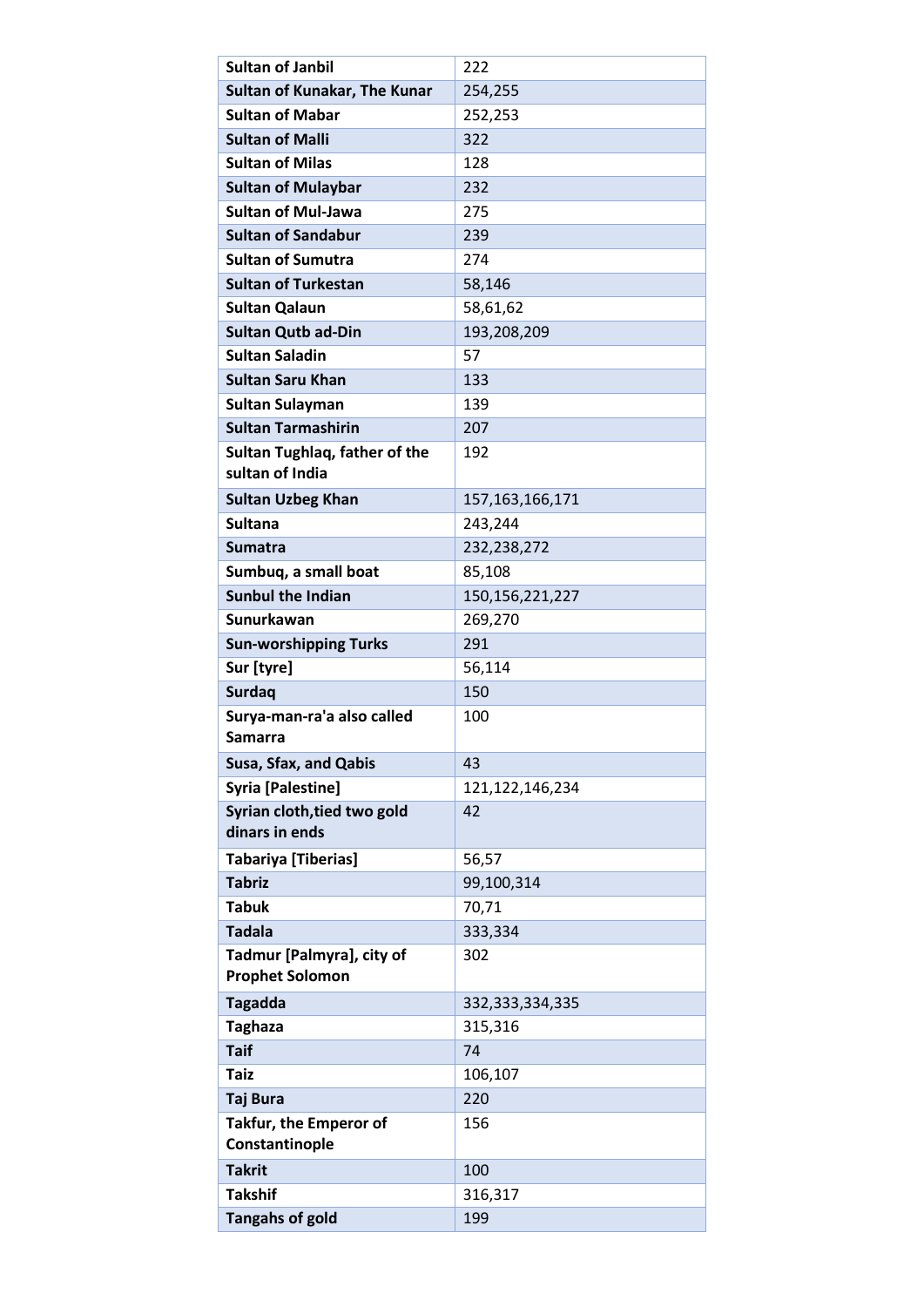| <b>Sultan of Janbil</b>                             | 222                |
|-----------------------------------------------------|--------------------|
| Sultan of Kunakar, The Kunar                        | 254,255            |
| <b>Sultan of Mabar</b>                              | 252,253            |
| <b>Sultan of Malli</b>                              | 322                |
| <b>Sultan of Milas</b>                              | 128                |
| <b>Sultan of Mulaybar</b>                           | 232                |
| <b>Sultan of Mul-Jawa</b>                           | 275                |
| <b>Sultan of Sandabur</b>                           | 239                |
| <b>Sultan of Sumutra</b>                            | 274                |
| <b>Sultan of Turkestan</b>                          | 58,146             |
| <b>Sultan Qalaun</b>                                | 58,61,62           |
| <b>Sultan Qutb ad-Din</b>                           | 193,208,209        |
| <b>Sultan Saladin</b>                               | 57                 |
| <b>Sultan Saru Khan</b>                             | 133                |
| Sultan Sulayman                                     | 139                |
| <b>Sultan Tarmashirin</b>                           | 207                |
| Sultan Tughlaq, father of the                       | 192                |
| sultan of India                                     |                    |
| <b>Sultan Uzbeg Khan</b>                            | 157, 163, 166, 171 |
| <b>Sultana</b>                                      | 243,244            |
| <b>Sumatra</b>                                      | 232,238,272        |
| Sumbuq, a small boat                                | 85,108             |
| <b>Sunbul the Indian</b>                            | 150, 156, 221, 227 |
| <b>Sunurkawan</b>                                   | 269,270            |
| <b>Sun-worshipping Turks</b>                        | 291                |
| Sur [tyre]                                          | 56,114             |
| <b>Surdaq</b>                                       | 150                |
| Surya-man-ra'a also called                          | 100                |
| Samarra                                             |                    |
| Susa, Sfax, and Qabis                               | 43                 |
| Syria [Palestine]                                   | 121, 122, 146, 234 |
| Syrian cloth, tied two gold                         | 42                 |
| dinars in ends                                      |                    |
| <b>Tabariya</b> [Tiberias]                          | 56,57              |
| <b>Tabriz</b>                                       | 99,100,314         |
| <b>Tabuk</b>                                        | 70,71              |
| <b>Tadala</b>                                       | 333,334            |
| Tadmur [Palmyra], city of<br><b>Prophet Solomon</b> | 302                |
| <b>Tagadda</b>                                      | 332,333,334,335    |
| <b>Taghaza</b>                                      | 315,316            |
| <b>Taif</b>                                         | 74                 |
| <b>Taiz</b>                                         | 106,107            |
| <b>Taj Bura</b>                                     | 220                |
| Takfur, the Emperor of                              | 156                |
| Constantinople                                      |                    |
| <b>Takrit</b>                                       | 100                |
| <b>Takshif</b>                                      | 316,317            |
| <b>Tangahs of gold</b>                              | 199                |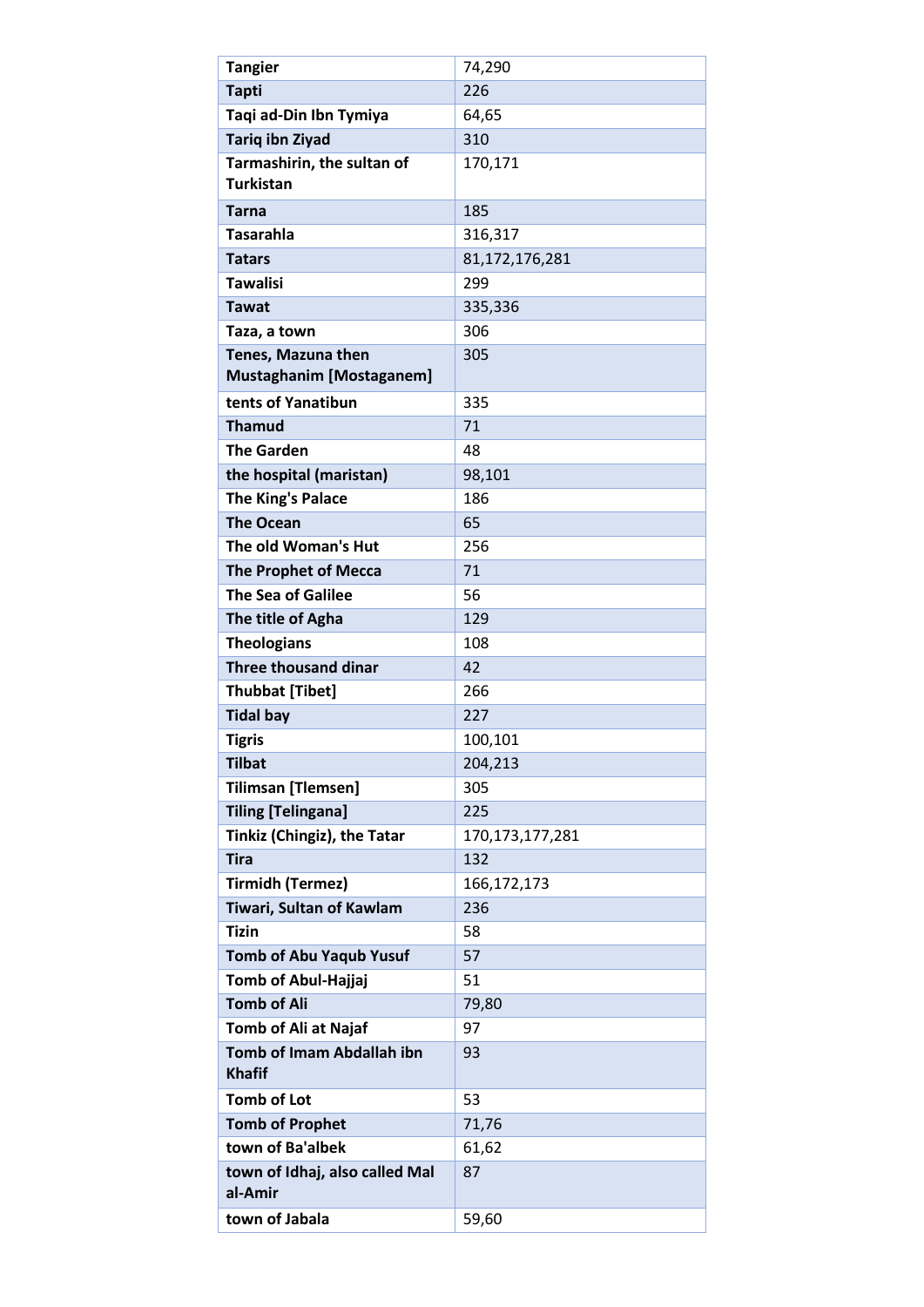| <b>Tangier</b>                                           | 74,290             |
|----------------------------------------------------------|--------------------|
| <b>Tapti</b>                                             | 226                |
| Taqi ad-Din Ibn Tymiya                                   | 64,65              |
| <b>Tariq ibn Ziyad</b>                                   | 310                |
| Tarmashirin, the sultan of<br><b>Turkistan</b>           | 170,171            |
| <b>Tarna</b>                                             | 185                |
| <b>Tasarahla</b>                                         | 316,317            |
| <b>Tatars</b>                                            | 81,172,176,281     |
| <b>Tawalisi</b>                                          | 299                |
| <b>Tawat</b>                                             | 335,336            |
| Taza, a town                                             | 306                |
| Tenes, Mazuna then<br><b>Mustaghanim [Mostaganem]</b>    | 305                |
| tents of Yanatibun                                       | 335                |
| <b>Thamud</b>                                            | 71                 |
| <b>The Garden</b>                                        | 48                 |
| the hospital (maristan)                                  | 98,101             |
| <b>The King's Palace</b>                                 | 186                |
| <b>The Ocean</b>                                         | 65                 |
| The old Woman's Hut                                      | 256                |
| <b>The Prophet of Mecca</b>                              | 71                 |
| <b>The Sea of Galilee</b>                                | 56                 |
| The title of Agha                                        | 129                |
| <b>Theologians</b>                                       | 108                |
| <b>Three thousand dinar</b>                              | 42                 |
| <b>Thubbat [Tibet]</b>                                   | 266                |
| <b>Tidal bay</b>                                         | 227                |
| <b>Tigris</b>                                            | 100,101            |
| <b>Tilbat</b>                                            | 204,213            |
| <b>Tilimsan [Tlemsen]</b>                                | 305                |
| <b>Tiling [Telingana]</b>                                | 225                |
| <b>Tinkiz (Chingiz), the Tatar</b>                       | 170, 173, 177, 281 |
| <b>Tira</b>                                              | 132                |
| <b>Tirmidh (Termez)</b>                                  | 166, 172, 173      |
| Tiwari, Sultan of Kawlam                                 | 236                |
| <b>Tizin</b>                                             | 58                 |
| <b>Tomb of Abu Yaqub Yusuf</b>                           | 57                 |
| Tomb of Abul-Hajjaj                                      | 51                 |
| <b>Tomb of Ali</b>                                       | 79,80              |
| <b>Tomb of Ali at Najaf</b><br>Tomb of Imam Abdallah ibn | 97                 |
| <b>Khafif</b>                                            | 93                 |
| <b>Tomb of Lot</b>                                       | 53                 |
| <b>Tomb of Prophet</b>                                   | 71,76              |
| town of Ba'albek                                         | 61,62              |
| town of Idhaj, also called Mal<br>al-Amir                | 87                 |
| town of Jabala                                           | 59,60              |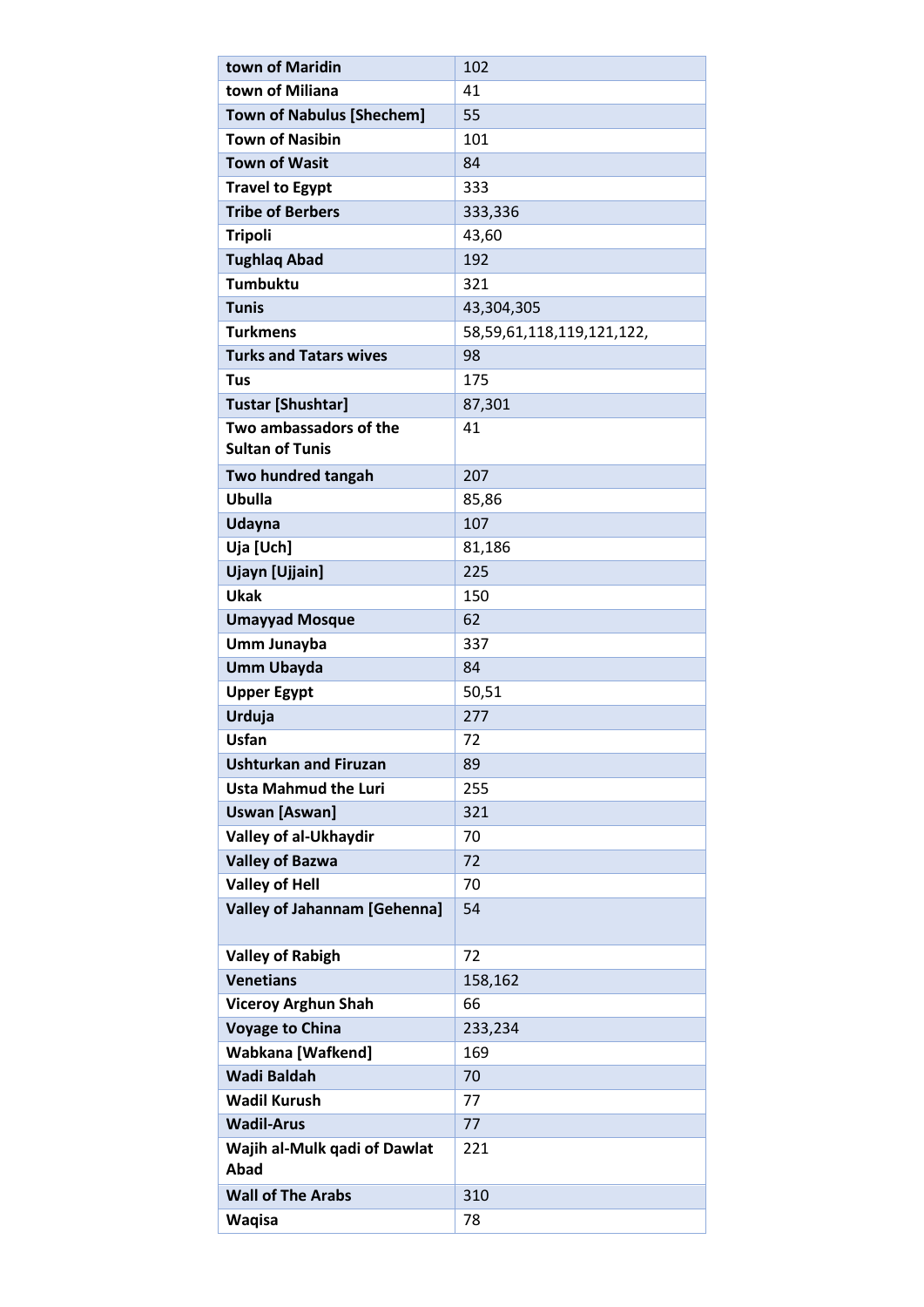| town of Maridin                      | 102                       |
|--------------------------------------|---------------------------|
| town of Miliana                      | 41                        |
| <b>Town of Nabulus [Shechem]</b>     | 55                        |
| <b>Town of Nasibin</b>               | 101                       |
| <b>Town of Wasit</b>                 | 84                        |
| <b>Travel to Egypt</b>               | 333                       |
| <b>Tribe of Berbers</b>              | 333,336                   |
| <b>Tripoli</b>                       | 43,60                     |
| <b>Tughlag Abad</b>                  | 192                       |
| <b>Tumbuktu</b>                      | 321                       |
| <b>Tunis</b>                         | 43,304,305                |
| <b>Turkmens</b>                      | 58,59,61,118,119,121,122, |
| <b>Turks and Tatars wives</b>        | 98                        |
| <b>Tus</b>                           | 175                       |
| <b>Tustar [Shushtar]</b>             | 87,301                    |
| Two ambassadors of the               | 41                        |
| <b>Sultan of Tunis</b>               |                           |
| Two hundred tangah                   | 207                       |
| Ubulla                               | 85,86                     |
| Udayna                               | 107                       |
| Uja [Uch]                            | 81,186                    |
| Ujayn [Ujjain]                       | 225                       |
| <b>Ukak</b>                          | 150                       |
| <b>Umayyad Mosque</b>                | 62                        |
| Umm Junayba                          | 337                       |
| <b>Umm Ubayda</b>                    | 84                        |
| <b>Upper Egypt</b>                   | 50,51                     |
| Urduja                               | 277                       |
| <b>Usfan</b>                         | 72                        |
| <b>Ushturkan and Firuzan</b>         | 89                        |
| <b>Usta Mahmud the Luri</b>          | 255                       |
| <b>Uswan [Aswan]</b>                 | 321                       |
| Valley of al-Ukhaydir                | 70                        |
| <b>Valley of Bazwa</b>               | 72                        |
| <b>Valley of Hell</b>                | 70                        |
| <b>Valley of Jahannam [Gehenna]</b>  | 54                        |
|                                      |                           |
| <b>Valley of Rabigh</b>              | 72                        |
| <b>Venetians</b>                     | 158,162                   |
| <b>Viceroy Arghun Shah</b>           | 66                        |
| <b>Voyage to China</b>               | 233,234                   |
| <b>Wabkana [Wafkend]</b>             | 169                       |
| <b>Wadi Baldah</b>                   | 70                        |
| <b>Wadil Kurush</b>                  | 77                        |
| <b>Wadil-Arus</b>                    | 77                        |
| Wajih al-Mulk qadi of Dawlat<br>Abad | 221                       |
| <b>Wall of The Arabs</b>             | 310                       |
| <b>Waqisa</b>                        | 78                        |